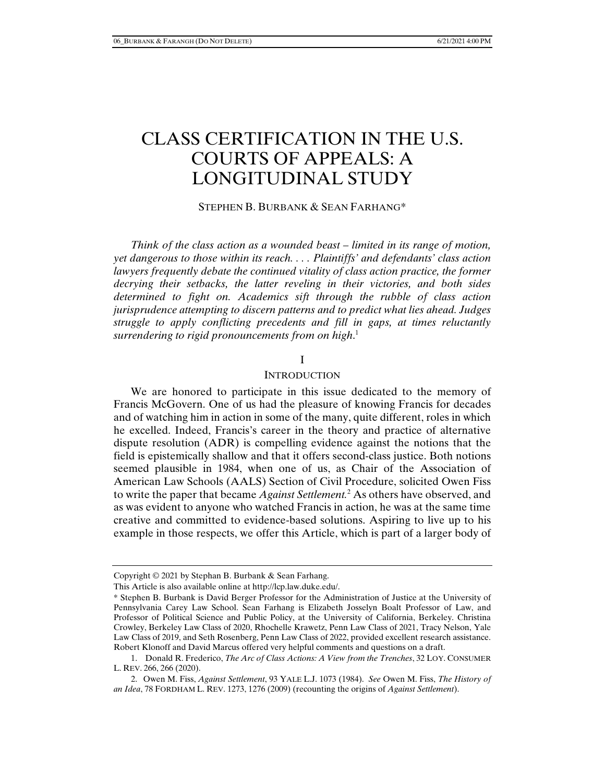# CLASS CERTIFICATION IN THE U.S. COURTS OF APPEALS: A LONGITUDINAL STUDY

#### STEPHEN B. BURBANK & SEAN FARHANG\*

*Think of the class action as a wounded beast – limited in its range of motion, yet dangerous to those within its reach. . . . Plaintiffs' and defendants' class action lawyers frequently debate the continued vitality of class action practice, the former decrying their setbacks, the latter reveling in their victories, and both sides determined to fight on. Academics sift through the rubble of class action jurisprudence attempting to discern patterns and to predict what lies ahead. Judges struggle to apply conflicting precedents and fill in gaps, at times reluctantly surrendering to rigid pronouncements from on high*. 1

#### I

#### **INTRODUCTION**

We are honored to participate in this issue dedicated to the memory of Francis McGovern. One of us had the pleasure of knowing Francis for decades and of watching him in action in some of the many, quite different, roles in which he excelled. Indeed, Francis's career in the theory and practice of alternative dispute resolution (ADR) is compelling evidence against the notions that the field is epistemically shallow and that it offers second-class justice. Both notions seemed plausible in 1984, when one of us, as Chair of the Association of American Law Schools (AALS) Section of Civil Procedure, solicited Owen Fiss to write the paper that became *Against Settlement.*<sup>2</sup> As others have observed, and as was evident to anyone who watched Francis in action, he was at the same time creative and committed to evidence-based solutions. Aspiring to live up to his example in those respects, we offer this Article, which is part of a larger body of

Copyright © 2021 by Stephan B. Burbank & Sean Farhang.

This Article is also available online at http://lcp.law.duke.edu/.

<sup>\*</sup> Stephen B. Burbank is David Berger Professor for the Administration of Justice at the University of Pennsylvania Carey Law School. Sean Farhang is Elizabeth Josselyn Boalt Professor of Law, and Professor of Political Science and Public Policy, at the University of California, Berkeley. Christina Crowley, Berkeley Law Class of 2020, Rhochelle Krawetz, Penn Law Class of 2021, Tracy Nelson, Yale Law Class of 2019, and Seth Rosenberg, Penn Law Class of 2022, provided excellent research assistance. Robert Klonoff and David Marcus offered very helpful comments and questions on a draft.

 <sup>1.</sup> Donald R. Frederico, *The Arc of Class Actions: A View from the Trenches*, 32 LOY. CONSUMER L. REV. 266, 266 (2020).

 <sup>2.</sup> Owen M. Fiss, *Against Settlement*, 93 YALE L.J. 1073 (1984). *See* Owen M. Fiss, *The History of an Idea*, 78 FORDHAM L. REV. 1273, 1276 (2009) (recounting the origins of *Against Settlement*).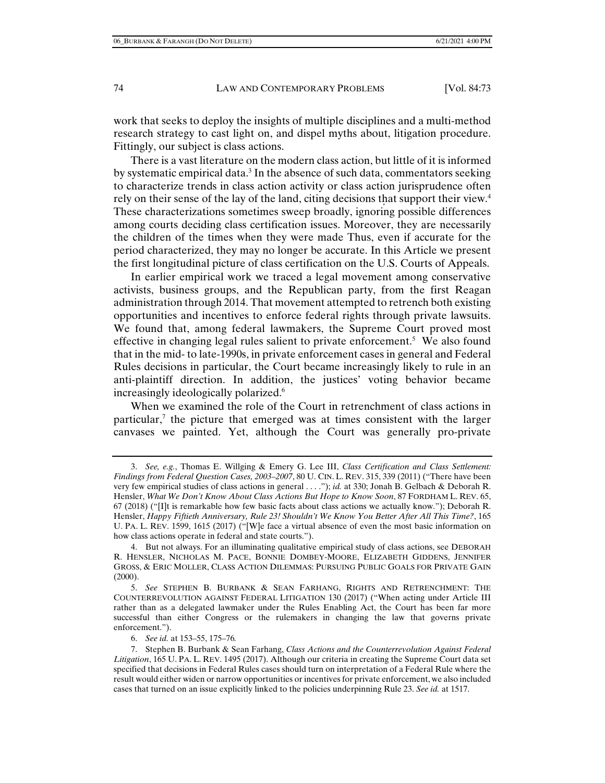work that seeks to deploy the insights of multiple disciplines and a multi-method research strategy to cast light on, and dispel myths about, litigation procedure. Fittingly, our subject is class actions.

There is a vast literature on the modern class action, but little of it is informed by systematic empirical data.<sup>3</sup> In the absence of such data, commentators seeking to characterize trends in class action activity or class action jurisprudence often rely on their sense of the lay of the land, citing decisions that support their view.<sup>4</sup> These characterizations sometimes sweep broadly, ignoring possible differences among courts deciding class certification issues. Moreover, they are necessarily the children of the times when they were made Thus, even if accurate for the period characterized, they may no longer be accurate. In this Article we present the first longitudinal picture of class certification on the U.S. Courts of Appeals.

In earlier empirical work we traced a legal movement among conservative activists, business groups, and the Republican party, from the first Reagan administration through 2014. That movement attempted to retrench both existing opportunities and incentives to enforce federal rights through private lawsuits. We found that, among federal lawmakers, the Supreme Court proved most effective in changing legal rules salient to private enforcement.<sup>5</sup> We also found that in the mid- to late-1990s, in private enforcement cases in general and Federal Rules decisions in particular, the Court became increasingly likely to rule in an anti-plaintiff direction. In addition, the justices' voting behavior became increasingly ideologically polarized.<sup>6</sup>

When we examined the role of the Court in retrenchment of class actions in particular,<sup>7</sup> the picture that emerged was at times consistent with the larger canvases we painted. Yet, although the Court was generally pro-private

 <sup>3.</sup> *See, e.g.*, Thomas E. Willging & Emery G. Lee III, *Class Certification and Class Settlement: Findings from Federal Question Cases, 2003–2007*, 80 U. CIN. L. REV. 315, 339 (2011) ("There have been very few empirical studies of class actions in general . . . ."); *id.* at 330; Jonah B. Gelbach & Deborah R. Hensler, *What We Don't Know About Class Actions But Hope to Know Soon*, 87 FORDHAM L. REV. 65, 67 (2018) ("[I]t is remarkable how few basic facts about class actions we actually know."); Deborah R. Hensler, *Happy Fiftieth Anniversary, Rule 23! Shouldn't We Know You Better After All This Time?*, 165 U. PA. L. REV. 1599, 1615 (2017) ("[W]e face a virtual absence of even the most basic information on how class actions operate in federal and state courts.").

 <sup>4.</sup> But not always. For an illuminating qualitative empirical study of class actions, see DEBORAH R. HENSLER, NICHOLAS M. PACE, BONNIE DOMBEY-MOORE, ELIZABETH GIDDENS, JENNIFER GROSS, & ERIC MOLLER, CLASS ACTION DILEMMAS: PURSUING PUBLIC GOALS FOR PRIVATE GAIN (2000).

 <sup>5.</sup> *See* STEPHEN B. BURBANK & SEAN FARHANG, RIGHTS AND RETRENCHMENT: THE COUNTERREVOLUTION AGAINST FEDERAL LITIGATION 130 (2017) ("When acting under Article III rather than as a delegated lawmaker under the Rules Enabling Act, the Court has been far more successful than either Congress or the rulemakers in changing the law that governs private enforcement.").

 <sup>6.</sup> *See id.* at 153–55, 175–76*.* 

 <sup>7.</sup> Stephen B. Burbank & Sean Farhang, *Class Actions and the Counterrevolution Against Federal Litigation*, 165 U. PA. L. REV. 1495 (2017). Although our criteria in creating the Supreme Court data set specified that decisions in Federal Rules cases should turn on interpretation of a Federal Rule where the result would either widen or narrow opportunities or incentives for private enforcement, we also included cases that turned on an issue explicitly linked to the policies underpinning Rule 23. *See id.* at 1517.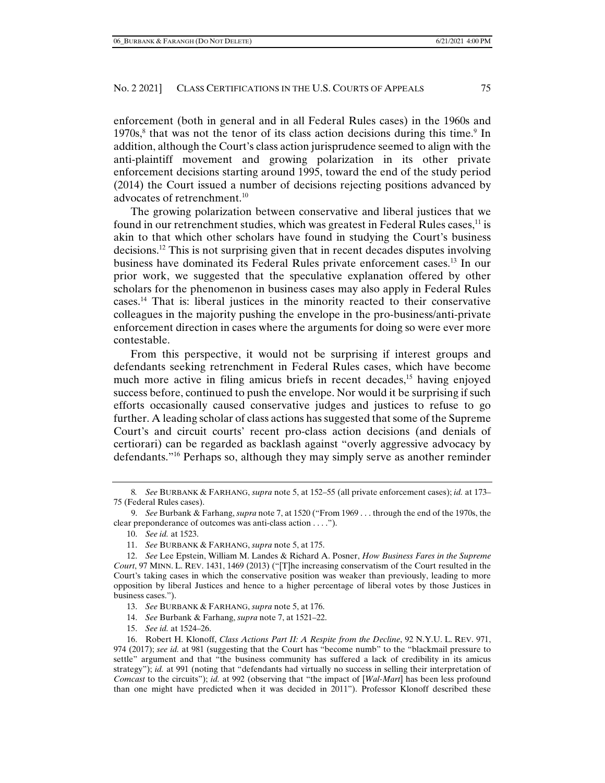enforcement (both in general and in all Federal Rules cases) in the 1960s and  $1970s$ ,<sup>8</sup> that was not the tenor of its class action decisions during this time.<sup>9</sup> In addition, although the Court's class action jurisprudence seemed to align with the anti-plaintiff movement and growing polarization in its other private enforcement decisions starting around 1995, toward the end of the study period (2014) the Court issued a number of decisions rejecting positions advanced by advocates of retrenchment.10

The growing polarization between conservative and liberal justices that we found in our retrenchment studies, which was greatest in Federal Rules cases,  $^{11}$  is akin to that which other scholars have found in studying the Court's business decisions.12 This is not surprising given that in recent decades disputes involving business have dominated its Federal Rules private enforcement cases.13 In our prior work, we suggested that the speculative explanation offered by other scholars for the phenomenon in business cases may also apply in Federal Rules cases.14 That is: liberal justices in the minority reacted to their conservative colleagues in the majority pushing the envelope in the pro-business/anti-private enforcement direction in cases where the arguments for doing so were ever more contestable.

From this perspective, it would not be surprising if interest groups and defendants seeking retrenchment in Federal Rules cases, which have become much more active in filing amicus briefs in recent decades,<sup>15</sup> having enjoyed success before, continued to push the envelope. Nor would it be surprising if such efforts occasionally caused conservative judges and justices to refuse to go further. A leading scholar of class actions has suggested that some of the Supreme Court's and circuit courts' recent pro-class action decisions (and denials of certiorari) can be regarded as backlash against "overly aggressive advocacy by defendants."16 Perhaps so, although they may simply serve as another reminder

- 14. *See* Burbank & Farhang, *supra* note 7, at 1521–22.
- 15. *See id.* at 1524–26.

<sup>8</sup>*. See* BURBANK & FARHANG, *supra* note 5, at 152–55 (all private enforcement cases); *id.* at 173– 75 (Federal Rules cases).

 <sup>9.</sup> *See* Burbank & Farhang, *supra* note 7, at 1520 ("From 1969 . . . through the end of the 1970s, the clear preponderance of outcomes was anti-class action . . . .").

 <sup>10.</sup> *See id.* at 1523.

 <sup>11.</sup> *See* BURBANK & FARHANG, *supra* note 5, at 175.

 <sup>12.</sup> *See* Lee Epstein, William M. Landes & Richard A. Posner, *How Business Fares in the Supreme Court*, 97 MINN. L. REV. 1431, 1469 (2013) ("[T]he increasing conservatism of the Court resulted in the Court's taking cases in which the conservative position was weaker than previously, leading to more opposition by liberal Justices and hence to a higher percentage of liberal votes by those Justices in business cases.").

 <sup>13.</sup> *See* BURBANK & FARHANG, *supra* note 5, at 176.

 <sup>16.</sup> Robert H. Klonoff, *Class Actions Part II: A Respite from the Decline*, 92 N.Y.U. L. REV. 971, 974 (2017); *see id.* at 981 (suggesting that the Court has "become numb" to the "blackmail pressure to settle" argument and that "the business community has suffered a lack of credibility in its amicus strategy"); *id.* at 991 (noting that "defendants had virtually no success in selling their interpretation of *Comcast* to the circuits"); *id.* at 992 (observing that "the impact of [*Wal-Mart*] has been less profound than one might have predicted when it was decided in 2011"). Professor Klonoff described these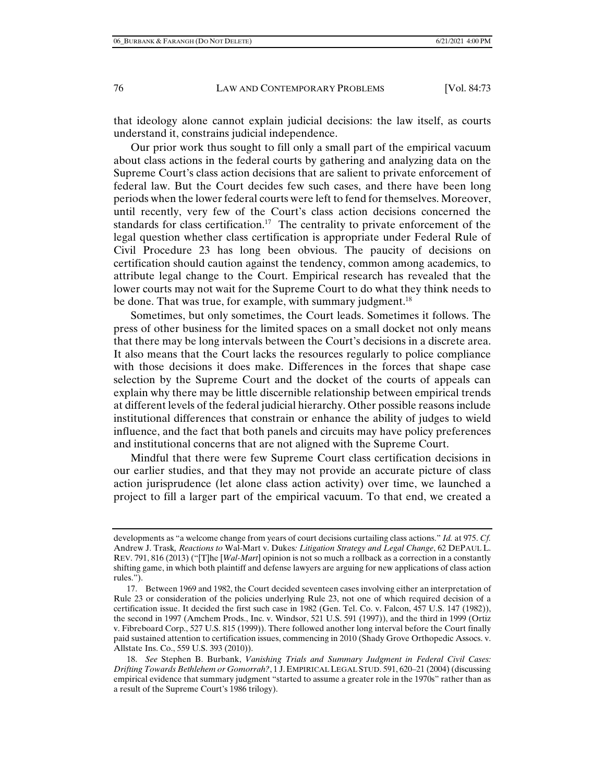that ideology alone cannot explain judicial decisions: the law itself, as courts understand it, constrains judicial independence.

Our prior work thus sought to fill only a small part of the empirical vacuum about class actions in the federal courts by gathering and analyzing data on the Supreme Court's class action decisions that are salient to private enforcement of federal law. But the Court decides few such cases, and there have been long periods when the lower federal courts were left to fend for themselves. Moreover, until recently, very few of the Court's class action decisions concerned the standards for class certification.<sup>17</sup> The centrality to private enforcement of the legal question whether class certification is appropriate under Federal Rule of Civil Procedure 23 has long been obvious. The paucity of decisions on certification should caution against the tendency, common among academics, to attribute legal change to the Court. Empirical research has revealed that the lower courts may not wait for the Supreme Court to do what they think needs to be done. That was true, for example, with summary judgment.<sup>18</sup>

Sometimes, but only sometimes, the Court leads. Sometimes it follows. The press of other business for the limited spaces on a small docket not only means that there may be long intervals between the Court's decisions in a discrete area. It also means that the Court lacks the resources regularly to police compliance with those decisions it does make. Differences in the forces that shape case selection by the Supreme Court and the docket of the courts of appeals can explain why there may be little discernible relationship between empirical trends at different levels of the federal judicial hierarchy. Other possible reasons include institutional differences that constrain or enhance the ability of judges to wield influence, and the fact that both panels and circuits may have policy preferences and institutional concerns that are not aligned with the Supreme Court.

Mindful that there were few Supreme Court class certification decisions in our earlier studies, and that they may not provide an accurate picture of class action jurisprudence (let alone class action activity) over time, we launched a project to fill a larger part of the empirical vacuum. To that end, we created a

developments as "a welcome change from years of court decisions curtailing class actions." *Id.* at 975. *Cf.* Andrew J. Trask*, Reactions to* Wal-Mart v. Dukes*: Litigation Strategy and Legal Change*, 62 DEPAUL L. REV. 791, 816 (2013) ("[T]he [*Wal-Mart*] opinion is not so much a rollback as a correction in a constantly shifting game, in which both plaintiff and defense lawyers are arguing for new applications of class action rules.").

 <sup>17.</sup> Between 1969 and 1982, the Court decided seventeen cases involving either an interpretation of Rule 23 or consideration of the policies underlying Rule 23, not one of which required decision of a certification issue. It decided the first such case in 1982 (Gen. Tel. Co. v. Falcon, 457 U.S. 147 (1982)), the second in 1997 (Amchem Prods., Inc. v. Windsor, 521 U.S. 591 (1997)), and the third in 1999 (Ortiz v. Fibreboard Corp., 527 U.S. 815 (1999)). There followed another long interval before the Court finally paid sustained attention to certification issues, commencing in 2010 (Shady Grove Orthopedic Assocs. v. Allstate Ins. Co., 559 U.S. 393 (2010)).

 <sup>18.</sup> *See* Stephen B. Burbank, *Vanishing Trials and Summary Judgment in Federal Civil Cases: Drifting Towards Bethlehem or Gomorrah?*, 1 J. EMPIRICAL LEGAL STUD. 591, 620–21 (2004) (discussing empirical evidence that summary judgment "started to assume a greater role in the 1970s" rather than as a result of the Supreme Court's 1986 trilogy).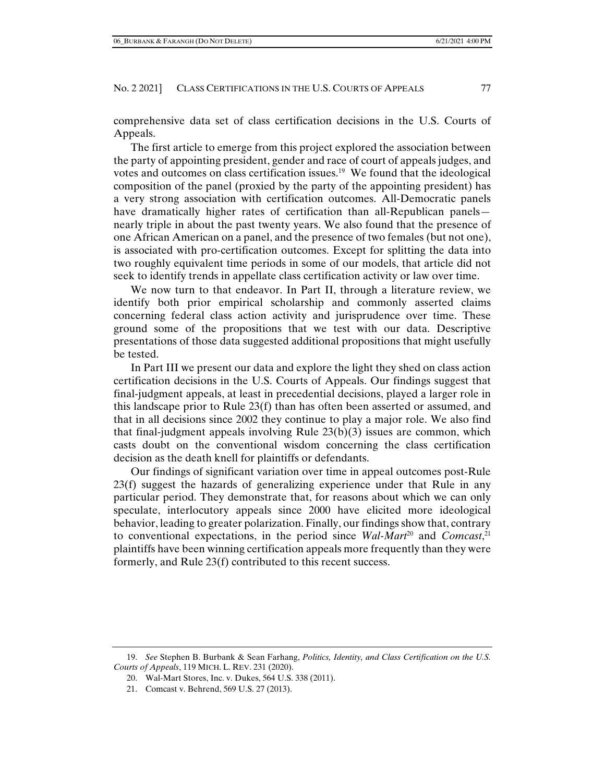comprehensive data set of class certification decisions in the U.S. Courts of Appeals.

The first article to emerge from this project explored the association between the party of appointing president, gender and race of court of appeals judges, and votes and outcomes on class certification issues.19 We found that the ideological composition of the panel (proxied by the party of the appointing president) has a very strong association with certification outcomes. All-Democratic panels have dramatically higher rates of certification than all-Republican panels nearly triple in about the past twenty years. We also found that the presence of one African American on a panel, and the presence of two females (but not one), is associated with pro-certification outcomes. Except for splitting the data into two roughly equivalent time periods in some of our models, that article did not seek to identify trends in appellate class certification activity or law over time.

We now turn to that endeavor. In Part II, through a literature review, we identify both prior empirical scholarship and commonly asserted claims concerning federal class action activity and jurisprudence over time. These ground some of the propositions that we test with our data. Descriptive presentations of those data suggested additional propositions that might usefully be tested.

In Part III we present our data and explore the light they shed on class action certification decisions in the U.S. Courts of Appeals. Our findings suggest that final-judgment appeals, at least in precedential decisions, played a larger role in this landscape prior to Rule  $23(f)$  than has often been asserted or assumed, and that in all decisions since 2002 they continue to play a major role. We also find that final-judgment appeals involving Rule  $23(b)(3)$  issues are common, which casts doubt on the conventional wisdom concerning the class certification decision as the death knell for plaintiffs or defendants.

Our findings of significant variation over time in appeal outcomes post-Rule  $23(f)$  suggest the hazards of generalizing experience under that Rule in any particular period. They demonstrate that, for reasons about which we can only speculate, interlocutory appeals since 2000 have elicited more ideological behavior, leading to greater polarization. Finally, our findings show that, contrary to conventional expectations, in the period since *Wal-Mart*20 and *Comcast*, 21 plaintiffs have been winning certification appeals more frequently than they were formerly, and Rule 23(f) contributed to this recent success.

 <sup>19.</sup> *See* Stephen B. Burbank & Sean Farhang, *Politics, Identity, and Class Certification on the U.S. Courts of Appeals*, 119 MICH. L. REV. 231 (2020).

 <sup>20.</sup> Wal-Mart Stores, Inc. v. Dukes, 564 U.S. 338 (2011).

 <sup>21.</sup> Comcast v. Behrend, 569 U.S. 27 (2013).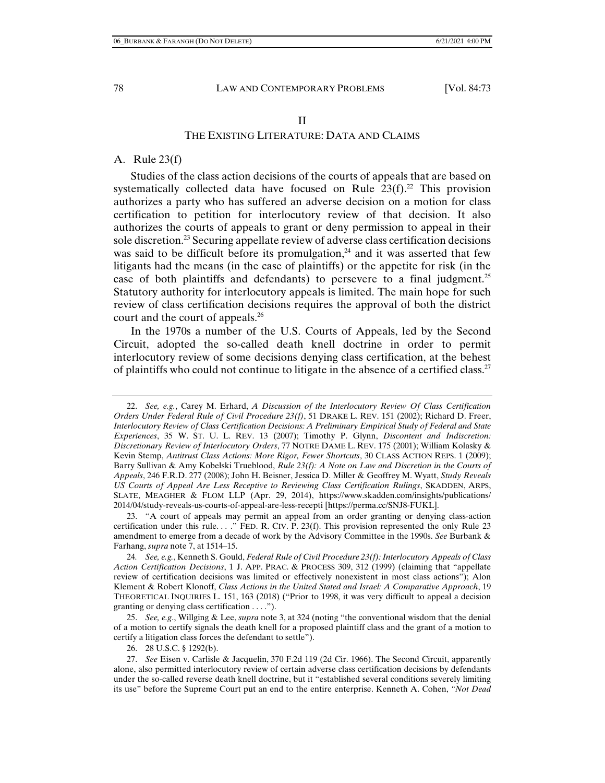## II THE EXISTING LITERATURE: DATA AND CLAIMS

#### A. Rule 23(f)

Studies of the class action decisions of the courts of appeals that are based on systematically collected data have focused on Rule  $23(f)$ .<sup>22</sup> This provision authorizes a party who has suffered an adverse decision on a motion for class certification to petition for interlocutory review of that decision. It also authorizes the courts of appeals to grant or deny permission to appeal in their sole discretion.23 Securing appellate review of adverse class certification decisions was said to be difficult before its promulgation,<sup>24</sup> and it was asserted that few litigants had the means (in the case of plaintiffs) or the appetite for risk (in the case of both plaintiffs and defendants) to persevere to a final judgment.<sup>25</sup> Statutory authority for interlocutory appeals is limited. The main hope for such review of class certification decisions requires the approval of both the district court and the court of appeals.<sup>26</sup>

In the 1970s a number of the U.S. Courts of Appeals, led by the Second Circuit, adopted the so-called death knell doctrine in order to permit interlocutory review of some decisions denying class certification, at the behest of plaintiffs who could not continue to litigate in the absence of a certified class.<sup>27</sup>

 <sup>22.</sup> *See, e.g.*, Carey M. Erhard, *A Discussion of the Interlocutory Review Of Class Certification Orders Under Federal Rule of Civil Procedure 23(f)*, 51 DRAKE L. REV. 151 (2002); Richard D. Freer, *Interlocutory Review of Class Certification Decisions: A Preliminary Empirical Study of Federal and State Experiences*, 35 W. ST. U. L. REV. 13 (2007); Timothy P. Glynn, *Discontent and Indiscretion: Discretionary Review of Interlocutory Orders*, 77 NOTRE DAME L. REV. 175 (2001); William Kolasky & Kevin Stemp, *Antitrust Class Actions: More Rigor, Fewer Shortcuts*, 30 CLASS ACTION REPS. 1 (2009); Barry Sullivan & Amy Kobelski Trueblood, *Rule 23(f): A Note on Law and Discretion in the Courts of Appeals*, 246 F.R.D. 277 (2008); John H. Beisner, Jessica D. Miller & Geoffrey M. Wyatt, *Study Reveals US Courts of Appeal Are Less Receptive to Reviewing Class Certification Rulings*, SKADDEN, ARPS, SLATE, MEAGHER & FLOM LLP (Apr. 29, 2014), https://www.skadden.com/insights/publications/ 2014/04/study-reveals-us-courts-of-appeal-are-less-recepti [https://perma.cc/SNJ8-FUKL].

 <sup>23. &</sup>quot;A court of appeals may permit an appeal from an order granting or denying class-action certification under this rule. . . ." FED. R. CIV. P. 23(f). This provision represented the only Rule 23 amendment to emerge from a decade of work by the Advisory Committee in the 1990s. *See* Burbank & Farhang, *supra* note 7, at 1514–15.

<sup>24</sup>*. See, e.g.*, Kenneth S. Gould, *Federal Rule of Civil Procedure 23(f): Interlocutory Appeals of Class Action Certification Decisions*, 1 J. APP. PRAC. & PROCESS 309, 312 (1999) (claiming that "appellate review of certification decisions was limited or effectively nonexistent in most class actions"); Alon Klement & Robert Klonoff, *Class Actions in the United Stated and Israel: A Comparative Approach*, 19 THEORETICAL INQUIRIES L. 151, 163 (2018) ("Prior to 1998, it was very difficult to appeal a decision granting or denying class certification . . . .").

 <sup>25.</sup> *See, e.g*., Willging & Lee, *supra* note 3, at 324 (noting "the conventional wisdom that the denial of a motion to certify signals the death knell for a proposed plaintiff class and the grant of a motion to certify a litigation class forces the defendant to settle").

 <sup>26. 28</sup> U.S.C. § 1292(b).

 <sup>27.</sup> *See* Eisen v. Carlisle & Jacquelin, 370 F.2d 119 (2d Cir. 1966). The Second Circuit, apparently alone, also permitted interlocutory review of certain adverse class certification decisions by defendants under the so-called reverse death knell doctrine, but it "established several conditions severely limiting its use" before the Supreme Court put an end to the entire enterprise. Kenneth A. Cohen, *"Not Dead*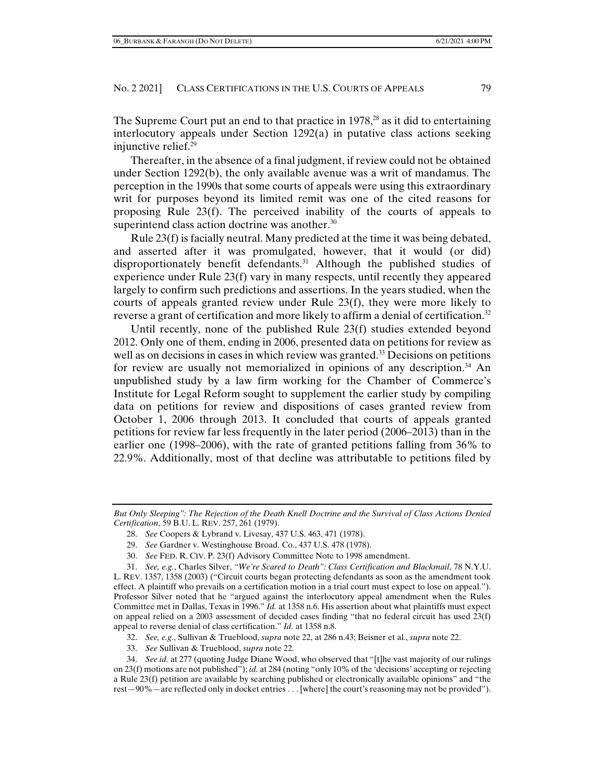The Supreme Court put an end to that practice in  $1978<sup>28</sup>$  as it did to entertaining interlocutory appeals under Section 1292(a) in putative class actions seeking injunctive relief.29

Thereafter, in the absence of a final judgment, if review could not be obtained under Section 1292(b), the only available avenue was a writ of mandamus. The perception in the 1990s that some courts of appeals were using this extraordinary writ for purposes beyond its limited remit was one of the cited reasons for proposing Rule 23(f). The perceived inability of the courts of appeals to superintend class action doctrine was another.<sup>30</sup>

Rule 23(f) is facially neutral. Many predicted at the time it was being debated, and asserted after it was promulgated, however, that it would (or did) disproportionately benefit defendants.<sup>31</sup> Although the published studies of experience under Rule 23(f) vary in many respects, until recently they appeared largely to confirm such predictions and assertions. In the years studied, when the courts of appeals granted review under Rule 23(f), they were more likely to reverse a grant of certification and more likely to affirm a denial of certification.<sup>32</sup>

Until recently, none of the published Rule 23(f) studies extended beyond 2012. Only one of them, ending in 2006, presented data on petitions for review as well as on decisions in cases in which review was granted.<sup>33</sup> Decisions on petitions for review are usually not memorialized in opinions of any description.<sup>34</sup> An unpublished study by a law firm working for the Chamber of Commerce's Institute for Legal Reform sought to supplement the earlier study by compiling data on petitions for review and dispositions of cases granted review from October 1, 2006 through 2013. It concluded that courts of appeals granted petitions for review far less frequently in the later period (2006–2013) than in the earlier one (1998–2006), with the rate of granted petitions falling from 36% to 22.9%. Additionally, most of that decline was attributable to petitions filed by

- 28. *See* Coopers & Lybrand v. Livesay, 437 U.S. 463, 471 (1978).
- 29. *See* Gardner v. Westinghouse Broad. Co., 437 U.S. 478 (1978).
- 30. *See* FED. R. CIV. P. 23(f) Advisory Committee Note to 1998 amendment.
- 31. *See, e.g.*, Charles Silver, *"We're Scared to Death": Class Certification and Blackmail*, 78 N.Y.U.

L. REV. 1357, 1358 (2003) ("Circuit courts began protecting defendants as soon as the amendment took effect. A plaintiff who prevails on a certification motion in a trial court must expect to lose on appeal."). Professor Silver noted that he "argued against the interlocutory appeal amendment when the Rules Committee met in Dallas, Texas in 1996." *Id.* at 1358 n.6. His assertion about what plaintiffs must expect on appeal relied on a 2003 assessment of decided cases finding "that no federal circuit has used 23(f) appeal to reverse denial of class certification." *Id.* at 1358 n.8.

- 32. *See, e.g*., Sullivan & Trueblood, *supra* note 22, at 286 n.43; Beisner et al., *supra* note 22.
- 33. *See* Sullivan & Trueblood, *supra* note 22.

 34. *See id.* at 277 (quoting Judge Diane Wood, who observed that "[t]he vast majority of our rulings on 23(f) motions are not published"); *id.* at 284 (noting "only 10% of the 'decisions' accepting or rejecting a Rule 23(f) petition are available by searching published or electronically available opinions" and "the rest—90%—are reflected only in docket entries . . . [where] the court's reasoning may not be provided").

*But Only Sleeping": The Rejection of the Death Knell Doctrine and the Survival of Class Actions Denied Certification*, 59 B.U. L. REV. 257, 261 (1979).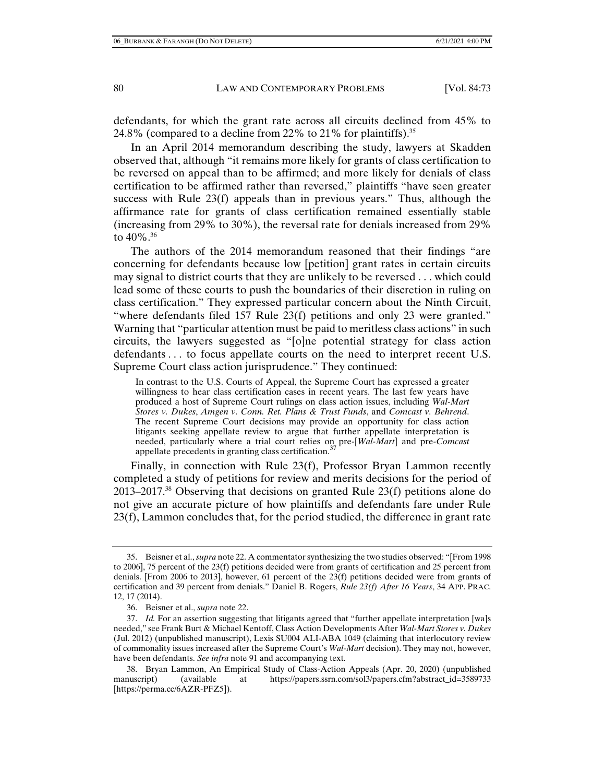defendants, for which the grant rate across all circuits declined from 45% to 24.8% (compared to a decline from 22% to 21% for plaintiffs).35

In an April 2014 memorandum describing the study, lawyers at Skadden observed that, although "it remains more likely for grants of class certification to be reversed on appeal than to be affirmed; and more likely for denials of class certification to be affirmed rather than reversed," plaintiffs "have seen greater success with Rule 23(f) appeals than in previous years." Thus, although the affirmance rate for grants of class certification remained essentially stable (increasing from 29% to 30%), the reversal rate for denials increased from 29% to 40%.36

The authors of the 2014 memorandum reasoned that their findings "are concerning for defendants because low [petition] grant rates in certain circuits may signal to district courts that they are unlikely to be reversed . . . which could lead some of these courts to push the boundaries of their discretion in ruling on class certification." They expressed particular concern about the Ninth Circuit, "where defendants filed 157 Rule 23(f) petitions and only 23 were granted." Warning that "particular attention must be paid to meritless class actions" in such circuits, the lawyers suggested as "[o]ne potential strategy for class action defendants . . . to focus appellate courts on the need to interpret recent U.S. Supreme Court class action jurisprudence." They continued:

In contrast to the U.S. Courts of Appeal, the Supreme Court has expressed a greater willingness to hear class certification cases in recent years. The last few years have produced a host of Supreme Court rulings on class action issues, including *Wal-Mart Stores v. Dukes*, *Amgen v. Conn. Ret. Plans & Trust Funds*, and *Comcast v. Behrend*. The recent Supreme Court decisions may provide an opportunity for class action litigants seeking appellate review to argue that further appellate interpretation is needed, particularly where a trial court relies on pre-[*Wal-Mart*] and pre-*Comcast* appellate precedents in granting class certification.<sup>3</sup>

Finally, in connection with Rule 23(f), Professor Bryan Lammon recently completed a study of petitions for review and merits decisions for the period of  $2013-2017$ <sup>38</sup> Observing that decisions on granted Rule  $23(f)$  petitions alone do not give an accurate picture of how plaintiffs and defendants fare under Rule 23(f), Lammon concludes that, for the period studied, the difference in grant rate

 <sup>35.</sup> Beisner et al., *supra* note 22. A commentator synthesizing the two studies observed: "[From 1998 to 2006], 75 percent of the 23(f) petitions decided were from grants of certification and 25 percent from denials. [From 2006 to 2013], however, 61 percent of the 23(f) petitions decided were from grants of certification and 39 percent from denials." Daniel B. Rogers, *Rule 23(f) After 16 Years*, 34 APP. PRAC. 12, 17 (2014).

 <sup>36.</sup> Beisner et al., *supra* note 22.

 <sup>37.</sup> *Id.* For an assertion suggesting that litigants agreed that "further appellate interpretation [wa]s needed," see Frank Burt & Michael Kentoff, Class Action Developments After *Wal-Mart Stores v. Dukes* (Jul. 2012) (unpublished manuscript), Lexis SU004 ALI-ABA 1049 (claiming that interlocutory review of commonality issues increased after the Supreme Court's *Wal-Mart* decision). They may not, however, have been defendants. *See infra* note 91 and accompanying text.

 <sup>38.</sup> Bryan Lammon, An Empirical Study of Class-Action Appeals (Apr. 20, 2020) (unpublished manuscript) (available at https://papers.ssrn.com/sol3/papers.cfm?abstract\_id=3589733 [https://perma.cc/6AZR-PFZ5]).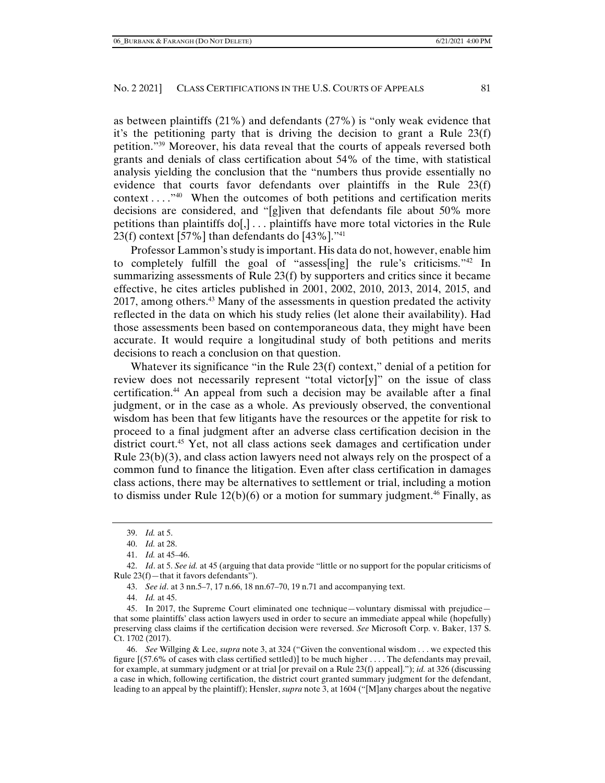as between plaintiffs (21%) and defendants (27%) is "only weak evidence that it's the petitioning party that is driving the decision to grant a Rule 23(f) petition."39 Moreover, his data reveal that the courts of appeals reversed both grants and denials of class certification about 54% of the time, with statistical analysis yielding the conclusion that the "numbers thus provide essentially no evidence that courts favor defendants over plaintiffs in the Rule 23(f) context  $\dots$ <sup>40</sup>. When the outcomes of both petitions and certification merits decisions are considered, and "[g]iven that defendants file about 50% more petitions than plaintiffs do[,] . . . plaintiffs have more total victories in the Rule 23(f) context  $[57\%]$  than defendants do  $[43\%]$ ."<sup>41</sup>

Professor Lammon's study is important. His data do not, however, enable him to completely fulfill the goal of "assess[ing] the rule's criticisms."42 In summarizing assessments of Rule 23(f) by supporters and critics since it became effective, he cites articles published in 2001, 2002, 2010, 2013, 2014, 2015, and 2017, among others.43 Many of the assessments in question predated the activity reflected in the data on which his study relies (let alone their availability). Had those assessments been based on contemporaneous data, they might have been accurate. It would require a longitudinal study of both petitions and merits decisions to reach a conclusion on that question.

Whatever its significance "in the Rule 23(f) context," denial of a petition for review does not necessarily represent "total victor[y]" on the issue of class certification.44 An appeal from such a decision may be available after a final judgment, or in the case as a whole. As previously observed, the conventional wisdom has been that few litigants have the resources or the appetite for risk to proceed to a final judgment after an adverse class certification decision in the district court.<sup>45</sup> Yet, not all class actions seek damages and certification under Rule 23(b)(3), and class action lawyers need not always rely on the prospect of a common fund to finance the litigation. Even after class certification in damages class actions, there may be alternatives to settlement or trial, including a motion to dismiss under Rule  $12(b)(6)$  or a motion for summary judgment.<sup>46</sup> Finally, as

43. *See id*. at 3 nn.5–7, 17 n.66, 18 nn.67–70, 19 n.71 and accompanying text.

44. *Id.* at 45.

 45. In 2017, the Supreme Court eliminated one technique—voluntary dismissal with prejudice that some plaintiffs' class action lawyers used in order to secure an immediate appeal while (hopefully) preserving class claims if the certification decision were reversed. *See* Microsoft Corp. v. Baker, 137 S. Ct. 1702 (2017).

 46. *See* Willging & Lee, *supra* note 3, at 324 ("Given the conventional wisdom . . . we expected this figure [(57.6% of cases with class certified settled)] to be much higher . . . . The defendants may prevail, for example, at summary judgment or at trial [or prevail on a Rule 23(f) appeal]."); *id.* at 326 (discussing a case in which, following certification, the district court granted summary judgment for the defendant, leading to an appeal by the plaintiff); Hensler, *supra* note 3, at 1604 ("[M]any charges about the negative

 <sup>39.</sup> *Id.* at 5.

 <sup>40.</sup> *Id.* at 28.

 <sup>41.</sup> *Id.* at 45–46.

 <sup>42.</sup> *Id*. at 5. *See id.* at 45 (arguing that data provide "little or no support for the popular criticisms of Rule 23(f)—that it favors defendants").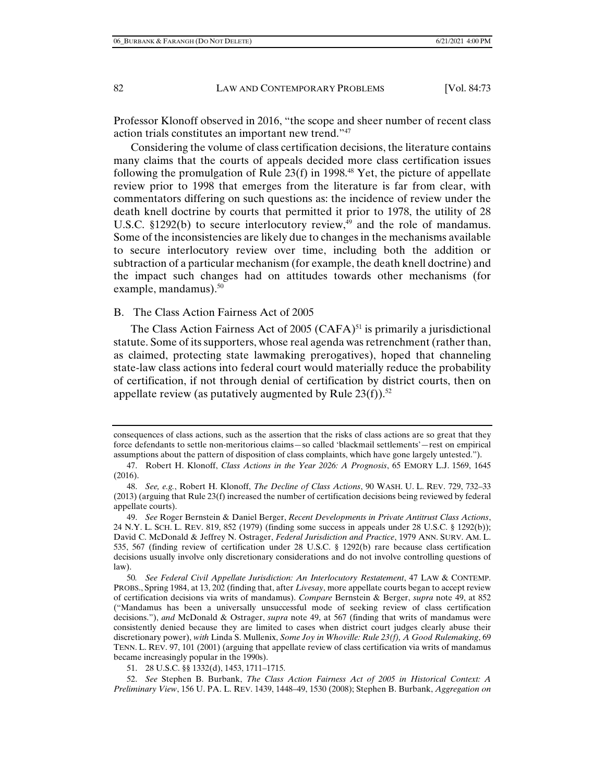Professor Klonoff observed in 2016, "the scope and sheer number of recent class action trials constitutes an important new trend."47

Considering the volume of class certification decisions, the literature contains many claims that the courts of appeals decided more class certification issues following the promulgation of Rule  $23(f)$  in 1998.<sup>48</sup> Yet, the picture of appellate review prior to 1998 that emerges from the literature is far from clear, with commentators differing on such questions as: the incidence of review under the death knell doctrine by courts that permitted it prior to 1978, the utility of 28 U.S.C.  $$1292(b)$  to secure interlocutory review,<sup> $49$ </sup> and the role of mandamus. Some of the inconsistencies are likely due to changes in the mechanisms available to secure interlocutory review over time, including both the addition or subtraction of a particular mechanism (for example, the death knell doctrine) and the impact such changes had on attitudes towards other mechanisms (for example, mandamus). $50$ 

B. The Class Action Fairness Act of 2005

The Class Action Fairness Act of 2005 (CAFA) $51$  is primarily a jurisdictional statute. Some of its supporters, whose real agenda was retrenchment (rather than, as claimed, protecting state lawmaking prerogatives), hoped that channeling state-law class actions into federal court would materially reduce the probability of certification, if not through denial of certification by district courts, then on appellate review (as putatively augmented by Rule  $23(f)$ ).<sup>52</sup>

 52. *See* Stephen B. Burbank, *The Class Action Fairness Act of 2005 in Historical Context: A Preliminary View*, 156 U. PA. L. REV. 1439, 1448–49, 1530 (2008); Stephen B. Burbank, *Aggregation on* 

consequences of class actions, such as the assertion that the risks of class actions are so great that they force defendants to settle non-meritorious claims—so called 'blackmail settlements'—rest on empirical assumptions about the pattern of disposition of class complaints, which have gone largely untested.").

 <sup>47.</sup> Robert H. Klonoff, *Class Actions in the Year 2026: A Prognosis*, 65 EMORY L.J. 1569, 1645 (2016).

 <sup>48.</sup> *See, e.g.*, Robert H. Klonoff, *The Decline of Class Actions*, 90 WASH. U. L. REV. 729, 732–33 (2013) (arguing that Rule 23(f) increased the number of certification decisions being reviewed by federal appellate courts).

 <sup>49.</sup> *See* Roger Bernstein & Daniel Berger, *Recent Developments in Private Antitrust Class Actions*, 24 N.Y. L. SCH. L. REV. 819, 852 (1979) (finding some success in appeals under 28 U.S.C. § 1292(b)); David C. McDonald & Jeffrey N. Ostrager, *Federal Jurisdiction and Practice*, 1979 ANN. SURV. AM. L. 535, 567 (finding review of certification under 28 U.S.C. § 1292(b) rare because class certification decisions usually involve only discretionary considerations and do not involve controlling questions of law).

<sup>50</sup>*. See Federal Civil Appellate Jurisdiction: An Interlocutory Restatement*, 47 LAW & CONTEMP. PROBS., Spring 1984, at 13, 202 (finding that, after *Livesay*, more appellate courts began to accept review of certification decisions via writs of mandamus). *Compare* Bernstein & Berger, *supra* note 49, at 852 ("Mandamus has been a universally unsuccessful mode of seeking review of class certification decisions."), *and* McDonald & Ostrager, *supra* note 49, at 567 (finding that writs of mandamus were consistently denied because they are limited to cases when district court judges clearly abuse their discretionary power), *with* Linda S. Mullenix, *Some Joy in Whoville: Rule 23(f), A Good Rulemaking*, 69 TENN. L. REV. 97, 101 (2001) (arguing that appellate review of class certification via writs of mandamus became increasingly popular in the 1990s).

 <sup>51. 28</sup> U.S.C. §§ 1332(d), 1453, 1711–1715.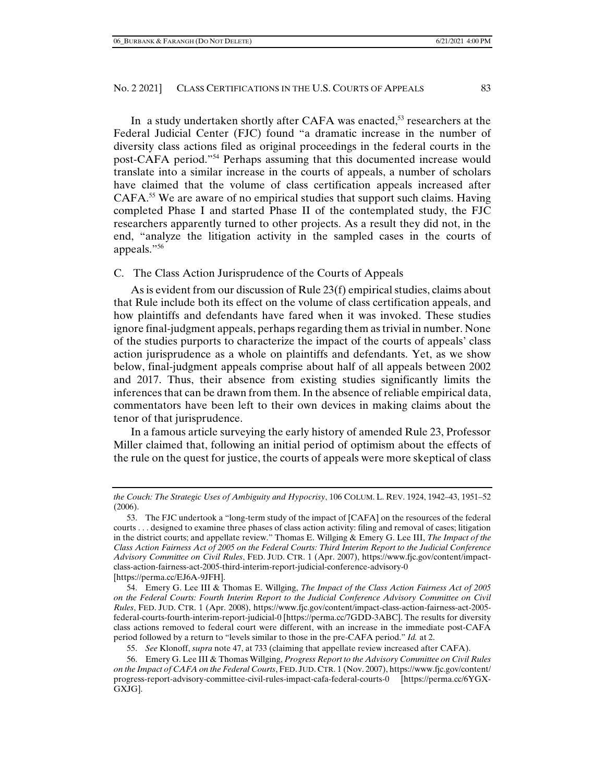In a study undertaken shortly after CAFA was enacted,<sup>53</sup> researchers at the Federal Judicial Center (FJC) found "a dramatic increase in the number of diversity class actions filed as original proceedings in the federal courts in the post-CAFA period."54 Perhaps assuming that this documented increase would translate into a similar increase in the courts of appeals, a number of scholars have claimed that the volume of class certification appeals increased after CAFA.<sup>55</sup> We are aware of no empirical studies that support such claims. Having completed Phase I and started Phase II of the contemplated study, the FJC researchers apparently turned to other projects. As a result they did not, in the end, "analyze the litigation activity in the sampled cases in the courts of appeals."56

#### C. The Class Action Jurisprudence of the Courts of Appeals

As is evident from our discussion of Rule 23(f) empirical studies, claims about that Rule include both its effect on the volume of class certification appeals, and how plaintiffs and defendants have fared when it was invoked. These studies ignore final-judgment appeals, perhaps regarding them as trivial in number. None of the studies purports to characterize the impact of the courts of appeals' class action jurisprudence as a whole on plaintiffs and defendants. Yet, as we show below, final-judgment appeals comprise about half of all appeals between 2002 and 2017. Thus, their absence from existing studies significantly limits the inferences that can be drawn from them. In the absence of reliable empirical data, commentators have been left to their own devices in making claims about the tenor of that jurisprudence.

In a famous article surveying the early history of amended Rule 23, Professor Miller claimed that, following an initial period of optimism about the effects of the rule on the quest for justice, the courts of appeals were more skeptical of class

*the Couch: The Strategic Uses of Ambiguity and Hypocrisy*, 106 COLUM. L. REV. 1924, 1942–43, 1951–52 (2006).

 <sup>53.</sup> The FJC undertook a "long-term study of the impact of [CAFA] on the resources of the federal courts . . . designed to examine three phases of class action activity: filing and removal of cases; litigation in the district courts; and appellate review." Thomas E. Willging & Emery G. Lee III, *The Impact of the Class Action Fairness Act of 2005 on the Federal Courts: Third Interim Report to the Judicial Conference Advisory Committee on Civil Rules*, FED. JUD. CTR. 1 (Apr. 2007), https://www.fjc.gov/content/impactclass-action-fairness-act-2005-third-interim-report-judicial-conference-advisory-0 [https://perma.cc/EJ6A-9JFH].

 <sup>54.</sup> Emery G. Lee III & Thomas E. Willging, *The Impact of the Class Action Fairness Act of 2005 on the Federal Courts: Fourth Interim Report to the Judicial Conference Advisory Committee on Civil Rules*, FED. JUD. CTR. 1 (Apr. 2008), https://www.fjc.gov/content/impact-class-action-fairness-act-2005 federal-courts-fourth-interim-report-judicial-0 [https://perma.cc/7GDD-3ABC]. The results for diversity class actions removed to federal court were different, with an increase in the immediate post-CAFA period followed by a return to "levels similar to those in the pre-CAFA period." *Id.* at 2.

 <sup>55.</sup> *See* Klonoff, *supra* note 47, at 733 (claiming that appellate review increased after CAFA).

 <sup>56.</sup> Emery G. Lee III & Thomas Willging, *Progress Report to the Advisory Committee on Civil Rules on the Impact of CAFA on the Federal Courts*, FED. JUD. CTR. 1 (Nov. 2007), https://www.fjc.gov/content/ progress-report-advisory-committee-civil-rules-impact-cafa-federal-courts-0 [https://perma.cc/6YGX-GXJG].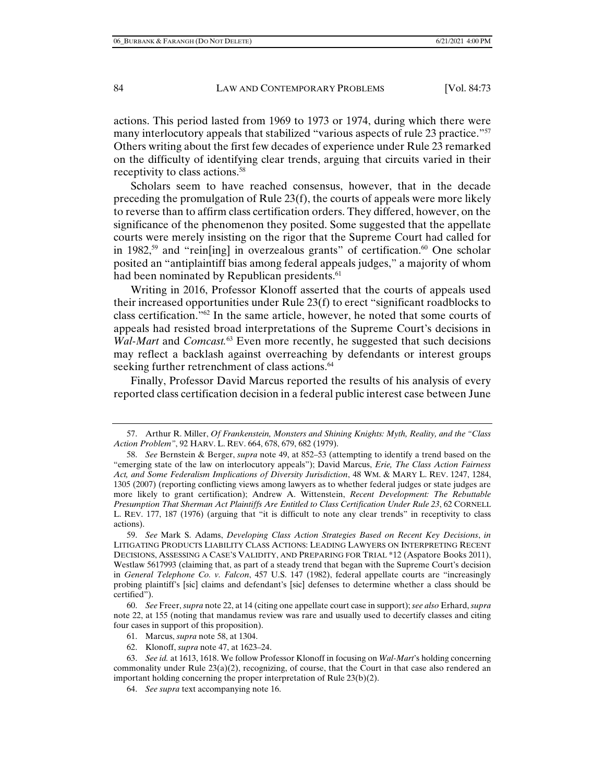actions. This period lasted from 1969 to 1973 or 1974, during which there were many interlocutory appeals that stabilized "various aspects of rule 23 practice."57 Others writing about the first few decades of experience under Rule 23 remarked on the difficulty of identifying clear trends, arguing that circuits varied in their receptivity to class actions.<sup>58</sup>

Scholars seem to have reached consensus, however, that in the decade preceding the promulgation of Rule  $23(f)$ , the courts of appeals were more likely to reverse than to affirm class certification orders. They differed, however, on the significance of the phenomenon they posited. Some suggested that the appellate courts were merely insisting on the rigor that the Supreme Court had called for in 1982,<sup>59</sup> and "rein[ing] in overzealous grants" of certification.<sup>60</sup> One scholar posited an "antiplaintiff bias among federal appeals judges," a majority of whom had been nominated by Republican presidents.<sup>61</sup>

Writing in 2016, Professor Klonoff asserted that the courts of appeals used their increased opportunities under Rule 23(f) to erect "significant roadblocks to class certification."62 In the same article, however, he noted that some courts of appeals had resisted broad interpretations of the Supreme Court's decisions in *Wal-Mart* and *Comcast.*63 Even more recently, he suggested that such decisions may reflect a backlash against overreaching by defendants or interest groups seeking further retrenchment of class actions.<sup>64</sup>

Finally, Professor David Marcus reported the results of his analysis of every reported class certification decision in a federal public interest case between June

62. Klonoff, *supra* note 47, at 1623–24.

64. *See supra* text accompanying note 16.

 <sup>57.</sup> Arthur R. Miller, *Of Frankenstein, Monsters and Shining Knights: Myth, Reality, and the "Class Action Problem"*, 92 HARV. L. REV. 664, 678, 679, 682 (1979).

 <sup>58.</sup> *See* Bernstein & Berger, *supra* note 49, at 852–53 (attempting to identify a trend based on the "emerging state of the law on interlocutory appeals"); David Marcus, *Erie, The Class Action Fairness Act, and Some Federalism Implications of Diversity Jurisdiction*, 48 WM. & MARY L. REV. 1247, 1284, 1305 (2007) (reporting conflicting views among lawyers as to whether federal judges or state judges are more likely to grant certification); Andrew A. Wittenstein, *Recent Development: The Rebuttable Presumption That Sherman Act Plaintiffs Are Entitled to Class Certification Under Rule 23*, 62 CORNELL L. REV. 177, 187 (1976) (arguing that "it is difficult to note any clear trends" in receptivity to class actions).

 <sup>59.</sup> *See* Mark S. Adams, *Developing Class Action Strategies Based on Recent Key Decisions*, *in* LITIGATING PRODUCTS LIABILITY CLASS ACTIONS: LEADING LAWYERS ON INTERPRETING RECENT DECISIONS, ASSESSING A CASE'S VALIDITY, AND PREPARING FOR TRIAL \*12 (Aspatore Books 2011), Westlaw 5617993 (claiming that, as part of a steady trend that began with the Supreme Court's decision in *General Telephone Co. v. Falcon*, 457 U.S. 147 (1982), federal appellate courts are "increasingly probing plaintiff's [sic] claims and defendant's [sic] defenses to determine whether a class should be certified").

 <sup>60.</sup> *See* Freer, *supra* note 22, at 14 (citing one appellate court case in support); *see also* Erhard, *supra* note 22, at 155 (noting that mandamus review was rare and usually used to decertify classes and citing four cases in support of this proposition).

 <sup>61.</sup> Marcus, *supra* note 58, at 1304.

 <sup>63.</sup> *See id.* at 1613, 1618. We follow Professor Klonoff in focusing on *Wal-Mart*'s holding concerning commonality under Rule  $23(a)(2)$ , recognizing, of course, that the Court in that case also rendered an important holding concerning the proper interpretation of Rule 23(b)(2).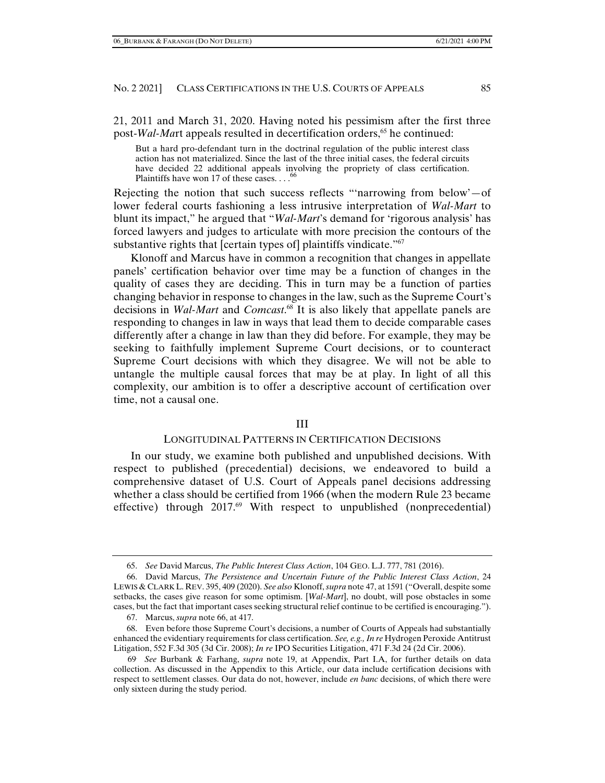21, 2011 and March 31, 2020. Having noted his pessimism after the first three post-*Wal-Ma*rt appeals resulted in decertification orders,<sup>65</sup> he continued:

But a hard pro-defendant turn in the doctrinal regulation of the public interest class action has not materialized. Since the last of the three initial cases, the federal circuits have decided 22 additional appeals involving the propriety of class certification. Plaintiffs have won 17 of these cases. . . .<sup>66</sup>

Rejecting the notion that such success reflects "'narrowing from below'—of lower federal courts fashioning a less intrusive interpretation of *Wal-Mart* to blunt its impact," he argued that "*Wal-Mart*'s demand for 'rigorous analysis' has forced lawyers and judges to articulate with more precision the contours of the substantive rights that [certain types of] plaintiffs vindicate."<sup>67</sup>

Klonoff and Marcus have in common a recognition that changes in appellate panels' certification behavior over time may be a function of changes in the quality of cases they are deciding. This in turn may be a function of parties changing behavior in response to changes in the law, such as the Supreme Court's decisions in *Wal-Mart* and *Comcast*. 68 It is also likely that appellate panels are responding to changes in law in ways that lead them to decide comparable cases differently after a change in law than they did before. For example, they may be seeking to faithfully implement Supreme Court decisions, or to counteract Supreme Court decisions with which they disagree. We will not be able to untangle the multiple causal forces that may be at play. In light of all this complexity, our ambition is to offer a descriptive account of certification over time, not a causal one.

#### III

#### LONGITUDINAL PATTERNS IN CERTIFICATION DECISIONS

In our study, we examine both published and unpublished decisions. With respect to published (precedential) decisions, we endeavored to build a comprehensive dataset of U.S. Court of Appeals panel decisions addressing whether a class should be certified from 1966 (when the modern Rule 23 became effective) through 2017.<sup>69</sup> With respect to unpublished (nonprecedential)

 <sup>65.</sup> *See* David Marcus, *The Public Interest Class Action*, 104 GEO. L.J. 777, 781 (2016).

 <sup>66.</sup> David Marcus, *The Persistence and Uncertain Future of the Public Interest Class Action*, 24 LEWIS & CLARK L. REV. 395, 409 (2020). *See also* Klonoff, *supra* note 47, at 1591 ("Overall, despite some setbacks, the cases give reason for some optimism. [*Wal-Mart*], no doubt, will pose obstacles in some cases, but the fact that important cases seeking structural relief continue to be certified is encouraging.").

 <sup>67.</sup> Marcus, *supra* note 66, at 417.

 <sup>68.</sup> Even before those Supreme Court's decisions, a number of Courts of Appeals had substantially enhanced the evidentiary requirements for class certification. *See, e.g.,In re* Hydrogen Peroxide Antitrust Litigation, 552 F.3d 305 (3d Cir. 2008); *In re* IPO Securities Litigation, 471 F.3d 24 (2d Cir. 2006).

<sup>69.</sup> *See* Burbank & Farhang, *supra* note 19, at Appendix, Part I.A, for further details on data collection. As discussed in the Appendix to this Article, our data include certification decisions with respect to settlement classes. Our data do not, however, include *en banc* decisions, of which there were only sixteen during the study period.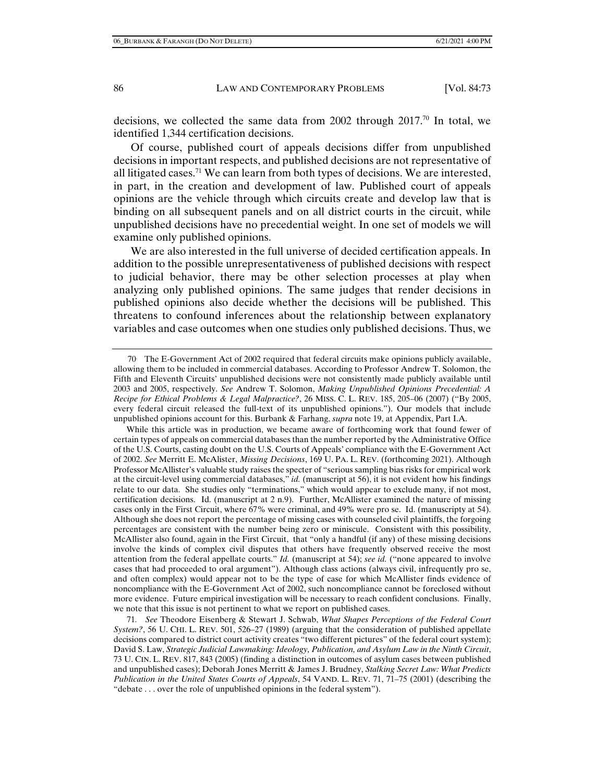decisions, we collected the same data from 2002 through  $2017$ .<sup>70</sup> In total, we identified 1,344 certification decisions.

Of course, published court of appeals decisions differ from unpublished decisions in important respects, and published decisions are not representative of all litigated cases.<sup>71</sup> We can learn from both types of decisions. We are interested, in part, in the creation and development of law. Published court of appeals opinions are the vehicle through which circuits create and develop law that is binding on all subsequent panels and on all district courts in the circuit, while unpublished decisions have no precedential weight. In one set of models we will examine only published opinions.

We are also interested in the full universe of decided certification appeals. In addition to the possible unrepresentativeness of published decisions with respect to judicial behavior, there may be other selection processes at play when analyzing only published opinions. The same judges that render decisions in published opinions also decide whether the decisions will be published. This threatens to confound inferences about the relationship between explanatory variables and case outcomes when one studies only published decisions. Thus, we

While this article was in production, we became aware of forthcoming work that found fewer of certain types of appeals on commercial databases than the number reported by the Administrative Office of the U.S. Courts, casting doubt on the U.S. Courts of Appeals' compliance with the E-Government Act of 2002. *See* Merritt E. McAlister, *Missing Decisions*, 169 U. PA. L. REV. (forthcoming 2021). Although Professor McAllister's valuable study raises the specter of "serious sampling bias risks for empirical work at the circuit-level using commercial databases," *id.* (manuscript at 56), it is not evident how his findings relate to our data. She studies only "terminations," which would appear to exclude many, if not most, certification decisions. Id. (manuscript at 2 n.9). Further, McAllister examined the nature of missing cases only in the First Circuit, where 67% were criminal, and 49% were pro se. Id. (manuscripty at 54). Although she does not report the percentage of missing cases with counseled civil plaintiffs, the forgoing percentages are consistent with the number being zero or miniscule. Consistent with this possibility, McAllister also found, again in the First Circuit, that "only a handful (if any) of these missing decisions involve the kinds of complex civil disputes that others have frequently observed receive the most attention from the federal appellate courts." *Id.* (manuscript at 54); *see id.* ("none appeared to involve cases that had proceeded to oral argument"). Although class actions (always civil, infrequently pro se, and often complex) would appear not to be the type of case for which McAllister finds evidence of noncompliance with the E-Government Act of 2002, such noncompliance cannot be foreclosed without more evidence. Future empirical investigation will be necessary to reach confident conclusions. Finally, we note that this issue is not pertinent to what we report on published cases.

71*. See* Theodore Eisenberg & Stewart J. Schwab, *What Shapes Perceptions of the Federal Court System?*, 56 U. CHI. L. REV. 501, 526–27 (1989) (arguing that the consideration of published appellate decisions compared to district court activity creates "two different pictures" of the federal court system); David S. Law, *Strategic Judicial Lawmaking: Ideology, Publication, and Asylum Law in the Ninth Circuit*, 73 U. CIN. L. REV. 817, 843 (2005) (finding a distinction in outcomes of asylum cases between published and unpublished cases); Deborah Jones Merritt & James J. Brudney, *Stalking Secret Law: What Predicts Publication in the United States Courts of Appeals*, 54 VAND. L. REV. 71, 71–75 (2001) (describing the "debate . . . over the role of unpublished opinions in the federal system").

<sup>70.</sup> The E-Government Act of 2002 required that federal circuits make opinions publicly available, allowing them to be included in commercial databases. According to Professor Andrew T. Solomon, the Fifth and Eleventh Circuits' unpublished decisions were not consistently made publicly available until 2003 and 2005, respectively. *See* Andrew T. Solomon, *Making Unpublished Opinions Precedential: A Recipe for Ethical Problems & Legal Malpractice?*, 26 MISS. C. L. REV. 185, 205–06 (2007) ("By 2005, every federal circuit released the full-text of its unpublished opinions."). Our models that include unpublished opinions account for this. Burbank & Farhang, *supra* note 19, at Appendix, Part I.A.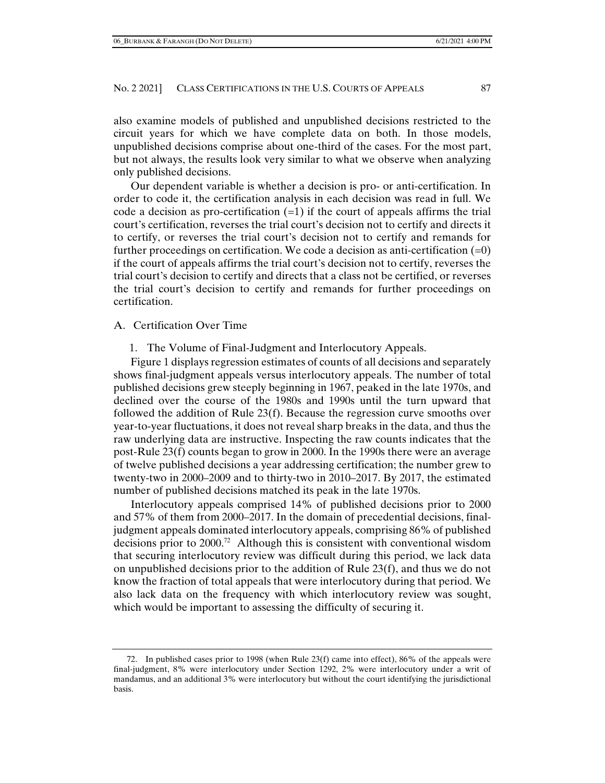also examine models of published and unpublished decisions restricted to the circuit years for which we have complete data on both. In those models, unpublished decisions comprise about one-third of the cases. For the most part, but not always, the results look very similar to what we observe when analyzing only published decisions.

Our dependent variable is whether a decision is pro- or anti-certification. In order to code it, the certification analysis in each decision was read in full. We code a decision as pro-certification  $(=1)$  if the court of appeals affirms the trial court's certification, reverses the trial court's decision not to certify and directs it to certify, or reverses the trial court's decision not to certify and remands for further proceedings on certification. We code a decision as anti-certification  $(=0)$ if the court of appeals affirms the trial court's decision not to certify, reverses the trial court's decision to certify and directs that a class not be certified, or reverses the trial court's decision to certify and remands for further proceedings on certification.

A. Certification Over Time

1. The Volume of Final-Judgment and Interlocutory Appeals.

Figure 1 displays regression estimates of counts of all decisions and separately shows final-judgment appeals versus interlocutory appeals. The number of total published decisions grew steeply beginning in 1967, peaked in the late 1970s, and declined over the course of the 1980s and 1990s until the turn upward that followed the addition of Rule 23(f). Because the regression curve smooths over year-to-year fluctuations, it does not reveal sharp breaks in the data, and thus the raw underlying data are instructive. Inspecting the raw counts indicates that the post-Rule 23(f) counts began to grow in 2000. In the 1990s there were an average of twelve published decisions a year addressing certification; the number grew to twenty-two in 2000–2009 and to thirty-two in 2010–2017. By 2017, the estimated number of published decisions matched its peak in the late 1970s.

Interlocutory appeals comprised 14% of published decisions prior to 2000 and 57% of them from 2000–2017. In the domain of precedential decisions, finaljudgment appeals dominated interlocutory appeals, comprising 86% of published decisions prior to 2000.72 Although this is consistent with conventional wisdom that securing interlocutory review was difficult during this period, we lack data on unpublished decisions prior to the addition of Rule 23(f), and thus we do not know the fraction of total appeals that were interlocutory during that period. We also lack data on the frequency with which interlocutory review was sought, which would be important to assessing the difficulty of securing it.

 <sup>72.</sup> In published cases prior to 1998 (when Rule 23(f) came into effect), 86% of the appeals were final-judgment, 8% were interlocutory under Section 1292, 2% were interlocutory under a writ of mandamus, and an additional 3% were interlocutory but without the court identifying the jurisdictional basis.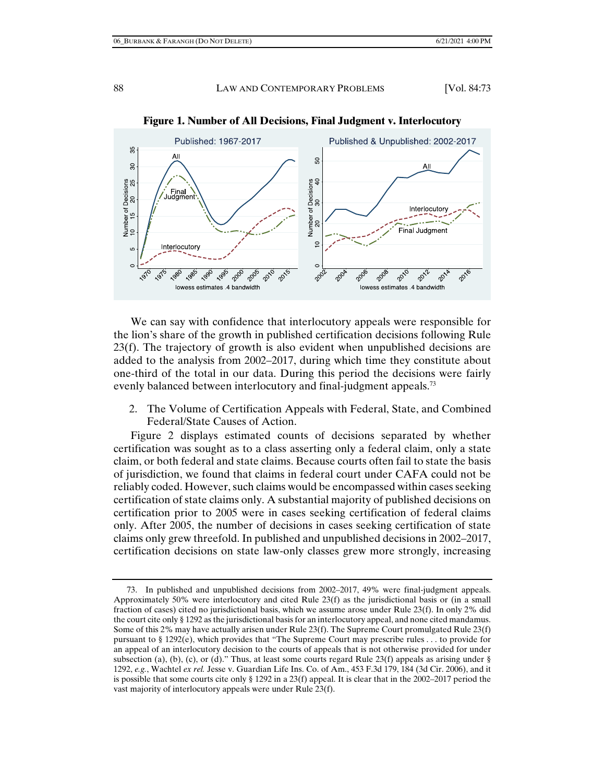

**Figure 1. Number of All Decisions, Final Judgment v. Interlocutory** 

We can say with confidence that interlocutory appeals were responsible for the lion's share of the growth in published certification decisions following Rule  $23(f)$ . The trajectory of growth is also evident when unpublished decisions are added to the analysis from 2002–2017, during which time they constitute about one-third of the total in our data. During this period the decisions were fairly evenly balanced between interlocutory and final-judgment appeals.<sup>73</sup>

2. The Volume of Certification Appeals with Federal, State, and Combined Federal/State Causes of Action.

Figure 2 displays estimated counts of decisions separated by whether certification was sought as to a class asserting only a federal claim, only a state claim, or both federal and state claims. Because courts often fail to state the basis of jurisdiction, we found that claims in federal court under CAFA could not be reliably coded. However, such claims would be encompassed within cases seeking certification of state claims only. A substantial majority of published decisions on certification prior to 2005 were in cases seeking certification of federal claims only. After 2005, the number of decisions in cases seeking certification of state claims only grew threefold. In published and unpublished decisions in 2002–2017, certification decisions on state law-only classes grew more strongly, increasing

 <sup>73.</sup> In published and unpublished decisions from 2002–2017, 49% were final-judgment appeals. Approximately 50% were interlocutory and cited Rule 23(f) as the jurisdictional basis or (in a small fraction of cases) cited no jurisdictional basis, which we assume arose under Rule 23(f). In only 2% did the court cite only § 1292 as the jurisdictional basis for an interlocutory appeal, and none cited mandamus. Some of this 2% may have actually arisen under Rule 23(f). The Supreme Court promulgated Rule 23(f) pursuant to § 1292(e), which provides that "The Supreme Court may prescribe rules . . . to provide for an appeal of an interlocutory decision to the courts of appeals that is not otherwise provided for under subsection (a), (b), (c), or (d)." Thus, at least some courts regard Rule 23(f) appeals as arising under  $\S$ 1292, *e.g.*, Wachtel *ex rel.* Jesse v. Guardian Life Ins. Co. of Am., 453 F.3d 179, 184 (3d Cir. 2006), and it is possible that some courts cite only § 1292 in a 23(f) appeal. It is clear that in the 2002–2017 period the vast majority of interlocutory appeals were under Rule 23(f).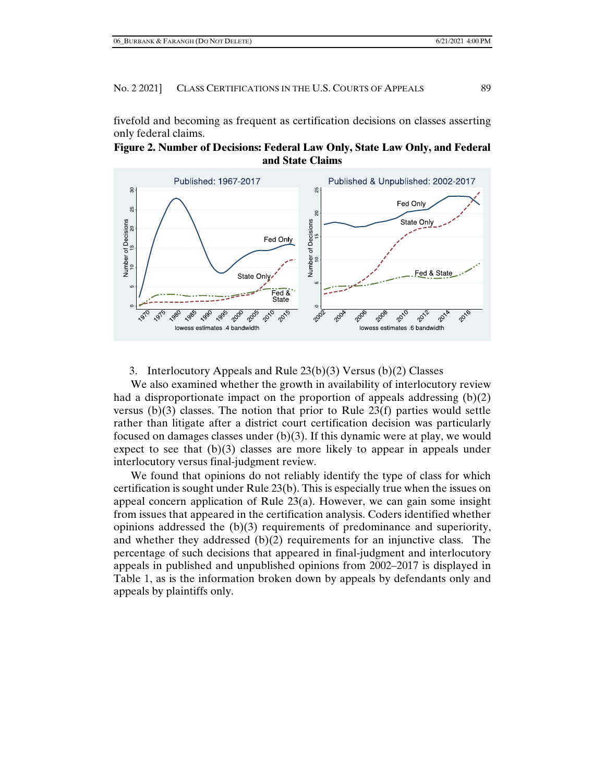fivefold and becoming as frequent as certification decisions on classes asserting only federal claims.





#### 3. Interlocutory Appeals and Rule 23(b)(3) Versus (b)(2) Classes

We also examined whether the growth in availability of interlocutory review had a disproportionate impact on the proportion of appeals addressing  $(b)(2)$ versus  $(b)(3)$  classes. The notion that prior to Rule 23(f) parties would settle rather than litigate after a district court certification decision was particularly focused on damages classes under (b)(3). If this dynamic were at play, we would expect to see that  $(b)(3)$  classes are more likely to appear in appeals under interlocutory versus final-judgment review.

We found that opinions do not reliably identify the type of class for which certification is sought under Rule 23(b). This is especially true when the issues on appeal concern application of Rule  $23(a)$ . However, we can gain some insight from issues that appeared in the certification analysis. Coders identified whether opinions addressed the (b)(3) requirements of predominance and superiority, and whether they addressed  $(b)(2)$  requirements for an injunctive class. The percentage of such decisions that appeared in final-judgment and interlocutory appeals in published and unpublished opinions from 2002–2017 is displayed in Table 1, as is the information broken down by appeals by defendants only and appeals by plaintiffs only.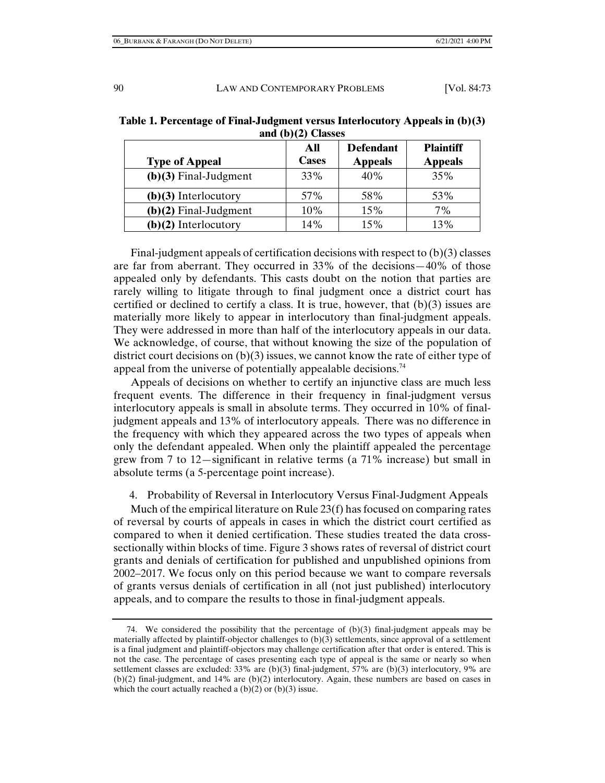| aliu (DILA) Classes     |                     |                                    |                                    |  |  |
|-------------------------|---------------------|------------------------------------|------------------------------------|--|--|
| <b>Type of Appeal</b>   | All<br><b>Cases</b> | <b>Defendant</b><br><b>Appeals</b> | <b>Plaintiff</b><br><b>Appeals</b> |  |  |
| $(b)(3)$ Final-Judgment | 33%                 | 40%                                | 35%                                |  |  |
| $(b)(3)$ Interlocutory  | 57%                 | 58%                                | 53%                                |  |  |
| $(b)(2)$ Final-Judgment | 10%                 | 15%                                | 7%                                 |  |  |
| $(b)(2)$ Interlocutory  | 14%                 | 15%                                | 13%                                |  |  |

**Table 1. Percentage of Final-Judgment versus Interlocutory Appeals in (b)(3) and (b)(2) Classes** 

Final-judgment appeals of certification decisions with respect to (b)(3) classes are far from aberrant. They occurred in 33% of the decisions—40% of those appealed only by defendants. This casts doubt on the notion that parties are rarely willing to litigate through to final judgment once a district court has certified or declined to certify a class. It is true, however, that  $(b)(3)$  issues are materially more likely to appear in interlocutory than final-judgment appeals. They were addressed in more than half of the interlocutory appeals in our data. We acknowledge, of course, that without knowing the size of the population of district court decisions on (b)(3) issues, we cannot know the rate of either type of appeal from the universe of potentially appealable decisions.<sup>74</sup>

Appeals of decisions on whether to certify an injunctive class are much less frequent events. The difference in their frequency in final-judgment versus interlocutory appeals is small in absolute terms. They occurred in 10% of finaljudgment appeals and 13% of interlocutory appeals. There was no difference in the frequency with which they appeared across the two types of appeals when only the defendant appealed. When only the plaintiff appealed the percentage grew from 7 to 12—significant in relative terms (a 71% increase) but small in absolute terms (a 5-percentage point increase).

4. Probability of Reversal in Interlocutory Versus Final-Judgment Appeals

Much of the empirical literature on Rule 23(f) has focused on comparing rates of reversal by courts of appeals in cases in which the district court certified as compared to when it denied certification. These studies treated the data crosssectionally within blocks of time. Figure 3 shows rates of reversal of district court grants and denials of certification for published and unpublished opinions from 2002–2017. We focus only on this period because we want to compare reversals of grants versus denials of certification in all (not just published) interlocutory appeals, and to compare the results to those in final-judgment appeals.

<sup>74.</sup> We considered the possibility that the percentage of  $(b)(3)$  final-judgment appeals may be materially affected by plaintiff-objector challenges to (b)(3) settlements, since approval of a settlement is a final judgment and plaintiff-objectors may challenge certification after that order is entered. This is not the case. The percentage of cases presenting each type of appeal is the same or nearly so when settlement classes are excluded: 33% are (b)(3) final-judgment, 57% are (b)(3) interlocutory, 9% are (b)(2) final-judgment, and 14% are (b)(2) interlocutory. Again, these numbers are based on cases in which the court actually reached a  $(b)(2)$  or  $(b)(3)$  issue.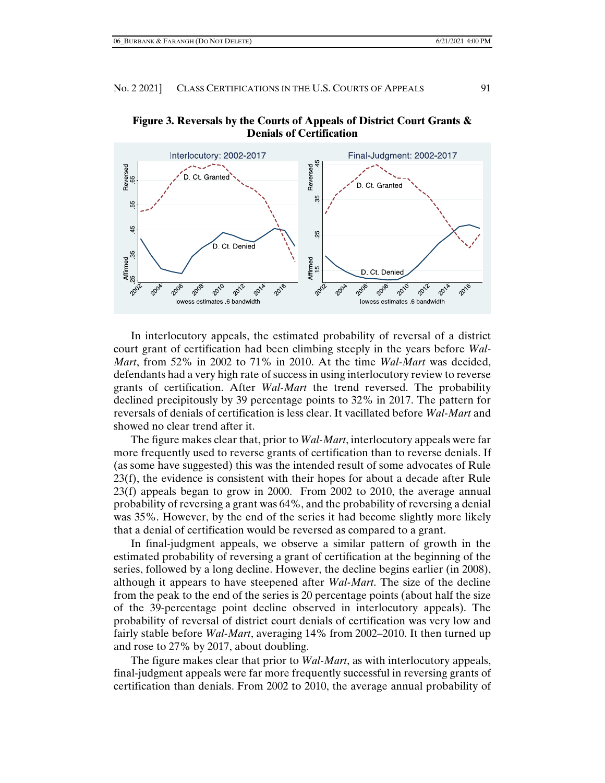

**Figure 3. Reversals by the Courts of Appeals of District Court Grants & Denials of Certification** 

In interlocutory appeals, the estimated probability of reversal of a district court grant of certification had been climbing steeply in the years before *Wal-Mart*, from 52% in 2002 to 71% in 2010. At the time *Wal-Mart* was decided, defendants had a very high rate of success in using interlocutory review to reverse grants of certification. After *Wal-Mart* the trend reversed. The probability declined precipitously by 39 percentage points to 32% in 2017. The pattern for reversals of denials of certification is less clear. It vacillated before *Wal-Mart* and showed no clear trend after it.

The figure makes clear that, prior to *Wal-Mart*, interlocutory appeals were far more frequently used to reverse grants of certification than to reverse denials. If (as some have suggested) this was the intended result of some advocates of Rule 23(f), the evidence is consistent with their hopes for about a decade after Rule 23(f) appeals began to grow in 2000. From 2002 to 2010, the average annual probability of reversing a grant was 64%, and the probability of reversing a denial was 35%. However, by the end of the series it had become slightly more likely that a denial of certification would be reversed as compared to a grant.

In final-judgment appeals, we observe a similar pattern of growth in the estimated probability of reversing a grant of certification at the beginning of the series, followed by a long decline. However, the decline begins earlier (in 2008), although it appears to have steepened after *Wal-Mart*. The size of the decline from the peak to the end of the series is 20 percentage points (about half the size of the 39-percentage point decline observed in interlocutory appeals). The probability of reversal of district court denials of certification was very low and fairly stable before *Wal-Mart*, averaging 14% from 2002–2010. It then turned up and rose to 27% by 2017, about doubling.

The figure makes clear that prior to *Wal-Mart*, as with interlocutory appeals, final-judgment appeals were far more frequently successful in reversing grants of certification than denials. From 2002 to 2010, the average annual probability of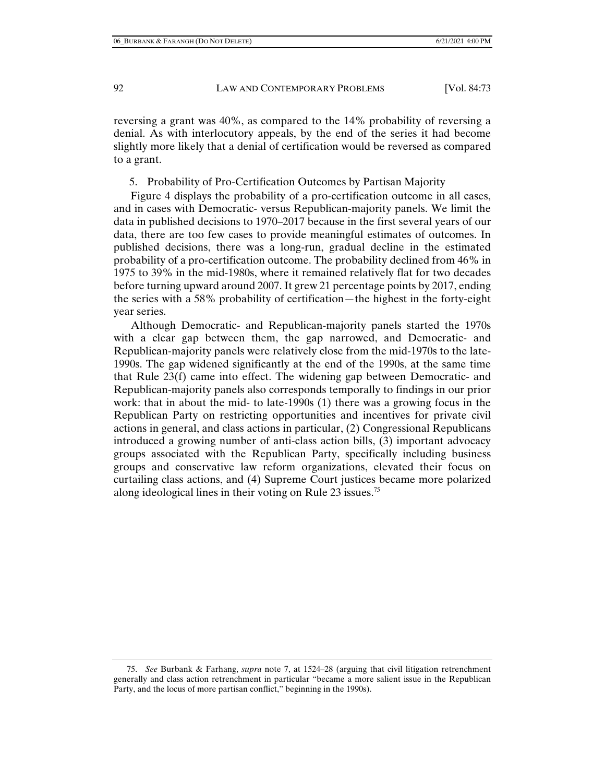reversing a grant was 40%, as compared to the 14% probability of reversing a denial. As with interlocutory appeals, by the end of the series it had become slightly more likely that a denial of certification would be reversed as compared to a grant.

5. Probability of Pro-Certification Outcomes by Partisan Majority

Figure 4 displays the probability of a pro-certification outcome in all cases, and in cases with Democratic- versus Republican-majority panels. We limit the data in published decisions to 1970–2017 because in the first several years of our data, there are too few cases to provide meaningful estimates of outcomes. In published decisions, there was a long-run, gradual decline in the estimated probability of a pro-certification outcome. The probability declined from 46% in 1975 to 39% in the mid-1980s, where it remained relatively flat for two decades before turning upward around 2007. It grew 21 percentage points by 2017, ending the series with a 58% probability of certification—the highest in the forty-eight year series.

Although Democratic- and Republican-majority panels started the 1970s with a clear gap between them, the gap narrowed, and Democratic- and Republican-majority panels were relatively close from the mid-1970s to the late-1990s. The gap widened significantly at the end of the 1990s, at the same time that Rule 23(f) came into effect. The widening gap between Democratic- and Republican-majority panels also corresponds temporally to findings in our prior work: that in about the mid- to late-1990s (1) there was a growing focus in the Republican Party on restricting opportunities and incentives for private civil actions in general, and class actions in particular, (2) Congressional Republicans introduced a growing number of anti-class action bills, (3) important advocacy groups associated with the Republican Party, specifically including business groups and conservative law reform organizations, elevated their focus on curtailing class actions, and (4) Supreme Court justices became more polarized along ideological lines in their voting on Rule 23 issues.<sup>75</sup>

 <sup>75.</sup> *See* Burbank & Farhang, *supra* note 7, at 1524–28 (arguing that civil litigation retrenchment generally and class action retrenchment in particular "became a more salient issue in the Republican Party, and the locus of more partisan conflict," beginning in the 1990s).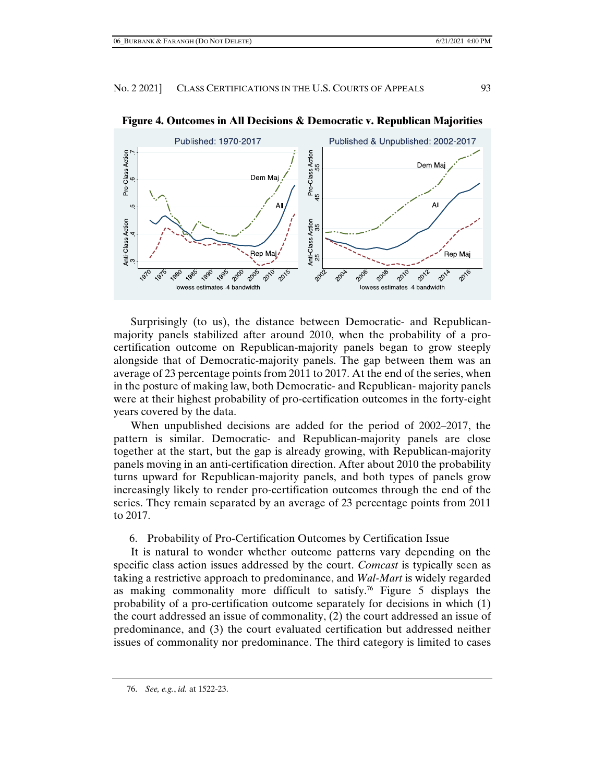

**Figure 4. Outcomes in All Decisions & Democratic v. Republican Majorities** 

Surprisingly (to us), the distance between Democratic- and Republicanmajority panels stabilized after around 2010, when the probability of a procertification outcome on Republican-majority panels began to grow steeply alongside that of Democratic-majority panels. The gap between them was an average of 23 percentage points from 2011 to 2017. At the end of the series, when in the posture of making law, both Democratic- and Republican- majority panels were at their highest probability of pro-certification outcomes in the forty-eight years covered by the data.

When unpublished decisions are added for the period of 2002–2017, the pattern is similar. Democratic- and Republican-majority panels are close together at the start, but the gap is already growing, with Republican-majority panels moving in an anti-certification direction. After about 2010 the probability turns upward for Republican-majority panels, and both types of panels grow increasingly likely to render pro-certification outcomes through the end of the series. They remain separated by an average of 23 percentage points from 2011 to 2017.

#### 6. Probability of Pro-Certification Outcomes by Certification Issue

It is natural to wonder whether outcome patterns vary depending on the specific class action issues addressed by the court. *Comcast* is typically seen as taking a restrictive approach to predominance, and *Wal-Mart* is widely regarded as making commonality more difficult to satisfy.<sup>76</sup> Figure 5 displays the probability of a pro-certification outcome separately for decisions in which (1) the court addressed an issue of commonality, (2) the court addressed an issue of predominance, and (3) the court evaluated certification but addressed neither issues of commonality nor predominance. The third category is limited to cases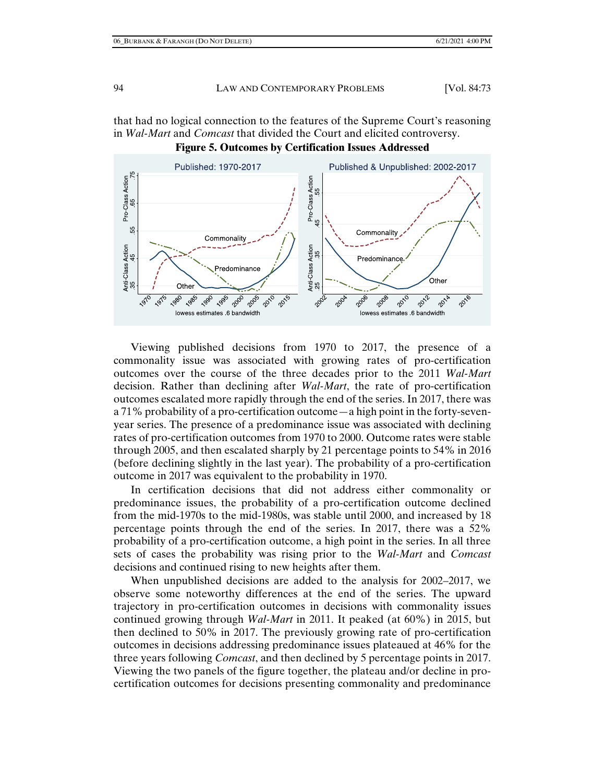that had no logical connection to the features of the Supreme Court's reasoning in *Wal-Mart* and *Comcast* that divided the Court and elicited controversy.

**Figure 5. Outcomes by Certification Issues Addressed** 



Viewing published decisions from 1970 to 2017, the presence of a commonality issue was associated with growing rates of pro-certification outcomes over the course of the three decades prior to the 2011 *Wal-Mart* decision. Rather than declining after *Wal-Mart*, the rate of pro-certification outcomes escalated more rapidly through the end of the series. In 2017, there was a 71% probability of a pro-certification outcome—a high point in the forty-sevenyear series. The presence of a predominance issue was associated with declining rates of pro-certification outcomes from 1970 to 2000. Outcome rates were stable through 2005, and then escalated sharply by 21 percentage points to 54% in 2016 (before declining slightly in the last year). The probability of a pro-certification outcome in 2017 was equivalent to the probability in 1970.

In certification decisions that did not address either commonality or predominance issues, the probability of a pro-certification outcome declined from the mid-1970s to the mid-1980s, was stable until 2000, and increased by 18 percentage points through the end of the series. In 2017, there was a 52% probability of a pro-certification outcome, a high point in the series. In all three sets of cases the probability was rising prior to the *Wal-Mart* and *Comcast* decisions and continued rising to new heights after them.

When unpublished decisions are added to the analysis for 2002–2017, we observe some noteworthy differences at the end of the series. The upward trajectory in pro-certification outcomes in decisions with commonality issues continued growing through *Wal-Mart* in 2011. It peaked (at 60%) in 2015, but then declined to 50% in 2017. The previously growing rate of pro-certification outcomes in decisions addressing predominance issues plateaued at 46% for the three years following *Comcast*, and then declined by 5 percentage points in 2017. Viewing the two panels of the figure together, the plateau and/or decline in procertification outcomes for decisions presenting commonality and predominance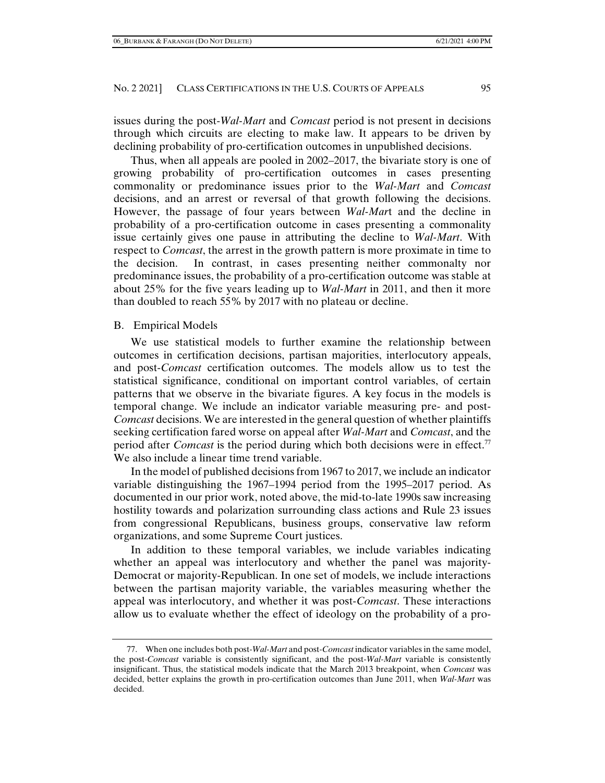issues during the post-*Wal-Mart* and *Comcast* period is not present in decisions through which circuits are electing to make law. It appears to be driven by declining probability of pro-certification outcomes in unpublished decisions.

Thus, when all appeals are pooled in 2002–2017, the bivariate story is one of growing probability of pro-certification outcomes in cases presenting commonality or predominance issues prior to the *Wal-Mart* and *Comcast* decisions, and an arrest or reversal of that growth following the decisions. However, the passage of four years between *Wal-Mar*t and the decline in probability of a pro-certification outcome in cases presenting a commonality issue certainly gives one pause in attributing the decline to *Wal-Mart*. With respect to *Comcast*, the arrest in the growth pattern is more proximate in time to the decision. In contrast, in cases presenting neither commonalty nor predominance issues, the probability of a pro-certification outcome was stable at about 25% for the five years leading up to *Wal-Mart* in 2011, and then it more than doubled to reach 55% by 2017 with no plateau or decline.

#### B. Empirical Models

We use statistical models to further examine the relationship between outcomes in certification decisions, partisan majorities, interlocutory appeals, and post-*Comcast* certification outcomes. The models allow us to test the statistical significance, conditional on important control variables, of certain patterns that we observe in the bivariate figures. A key focus in the models is temporal change. We include an indicator variable measuring pre- and post-*Comcast* decisions. We are interested in the general question of whether plaintiffs seeking certification fared worse on appeal after *Wal-Mart* and *Comcast*, and the period after *Comcast* is the period during which both decisions were in effect.77 We also include a linear time trend variable.

In the model of published decisions from 1967 to 2017, we include an indicator variable distinguishing the 1967–1994 period from the 1995–2017 period. As documented in our prior work, noted above, the mid-to-late 1990s saw increasing hostility towards and polarization surrounding class actions and Rule 23 issues from congressional Republicans, business groups, conservative law reform organizations, and some Supreme Court justices.

In addition to these temporal variables, we include variables indicating whether an appeal was interlocutory and whether the panel was majority-Democrat or majority-Republican. In one set of models, we include interactions between the partisan majority variable, the variables measuring whether the appeal was interlocutory, and whether it was post-*Comcast*. These interactions allow us to evaluate whether the effect of ideology on the probability of a pro-

 <sup>77.</sup> When one includes both post-*Wal-Mart* and post-*Comcast* indicator variables in the same model, the post-*Comcast* variable is consistently significant, and the post-*Wal-Mart* variable is consistently insignificant. Thus, the statistical models indicate that the March 2013 breakpoint, when *Comcast* was decided, better explains the growth in pro-certification outcomes than June 2011, when *Wal-Mart* was decided.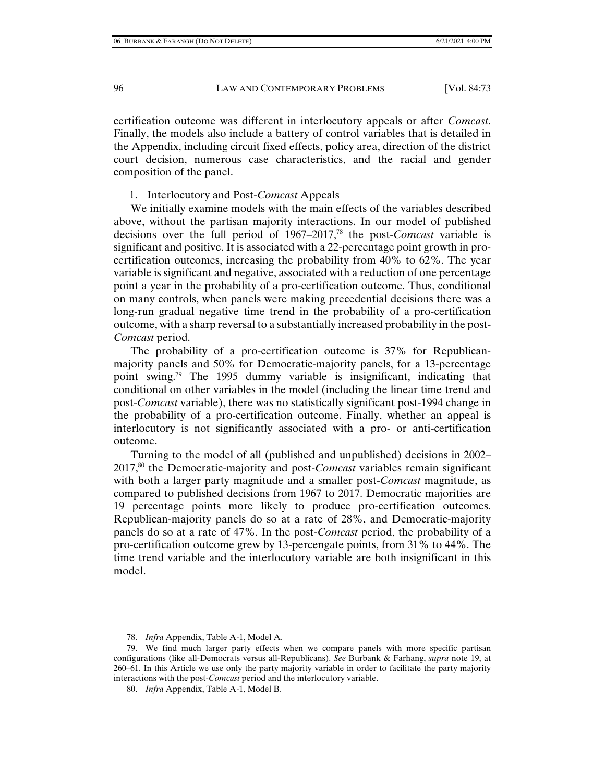certification outcome was different in interlocutory appeals or after *Comcast*. Finally, the models also include a battery of control variables that is detailed in the Appendix, including circuit fixed effects, policy area, direction of the district court decision, numerous case characteristics, and the racial and gender composition of the panel.

#### 1. Interlocutory and Post-*Comcast* Appeals

We initially examine models with the main effects of the variables described above, without the partisan majority interactions. In our model of published decisions over the full period of 1967–2017,78 the post-*Comcast* variable is significant and positive. It is associated with a 22-percentage point growth in procertification outcomes, increasing the probability from 40% to 62%. The year variable is significant and negative, associated with a reduction of one percentage point a year in the probability of a pro-certification outcome. Thus, conditional on many controls, when panels were making precedential decisions there was a long-run gradual negative time trend in the probability of a pro-certification outcome, with a sharp reversal to a substantially increased probability in the post-*Comcast* period.

The probability of a pro-certification outcome is 37% for Republicanmajority panels and 50% for Democratic-majority panels, for a 13-percentage point swing.79 The 1995 dummy variable is insignificant, indicating that conditional on other variables in the model (including the linear time trend and post-*Comcast* variable), there was no statistically significant post-1994 change in the probability of a pro-certification outcome. Finally, whether an appeal is interlocutory is not significantly associated with a pro- or anti-certification outcome.

Turning to the model of all (published and unpublished) decisions in 2002– 2017,80 the Democratic-majority and post-*Comcast* variables remain significant with both a larger party magnitude and a smaller post-*Comcast* magnitude, as compared to published decisions from 1967 to 2017. Democratic majorities are 19 percentage points more likely to produce pro-certification outcomes. Republican-majority panels do so at a rate of 28%, and Democratic-majority panels do so at a rate of 47%. In the post-*Comcast* period, the probability of a pro-certification outcome grew by 13-percengate points, from 31% to 44%. The time trend variable and the interlocutory variable are both insignificant in this model.

 <sup>78.</sup> *Infra* Appendix, Table A-1, Model A.

 <sup>79.</sup> We find much larger party effects when we compare panels with more specific partisan configurations (like all-Democrats versus all-Republicans). *See* Burbank & Farhang, *supra* note 19, at 260–61. In this Article we use only the party majority variable in order to facilitate the party majority interactions with the post-*Comcast* period and the interlocutory variable.

 <sup>80.</sup> *Infra* Appendix, Table A-1, Model B.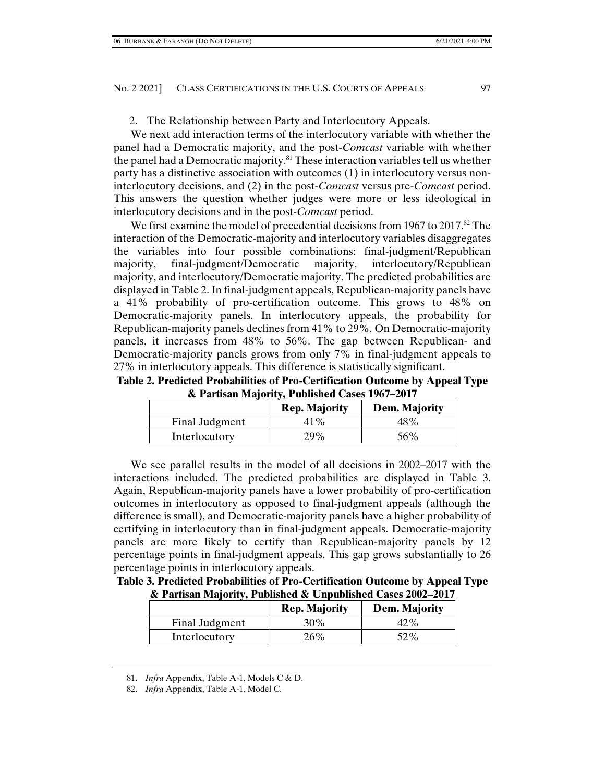2. The Relationship between Party and Interlocutory Appeals.

We next add interaction terms of the interlocutory variable with whether the panel had a Democratic majority, and the post-*Comcast* variable with whether the panel had a Democratic majority.<sup>81</sup> These interaction variables tell us whether party has a distinctive association with outcomes (1) in interlocutory versus noninterlocutory decisions, and (2) in the post-*Comcast* versus pre-*Comcast* period. This answers the question whether judges were more or less ideological in interlocutory decisions and in the post-*Comcast* period.

We first examine the model of precedential decisions from 1967 to 2017.<sup>82</sup> The interaction of the Democratic-majority and interlocutory variables disaggregates the variables into four possible combinations: final-judgment/Republican majority, final-judgment/Democratic majority, interlocutory/Republican majority, and interlocutory/Democratic majority. The predicted probabilities are displayed in Table 2. In final-judgment appeals, Republican-majority panels have a 41% probability of pro-certification outcome. This grows to 48% on Democratic-majority panels. In interlocutory appeals, the probability for Republican-majority panels declines from 41% to 29%. On Democratic-majority panels, it increases from 48% to 56%. The gap between Republican- and Democratic-majority panels grows from only 7% in final-judgment appeals to 27% in interlocutory appeals. This difference is statistically significant.

**Table 2. Predicted Probabilities of Pro-Certification Outcome by Appeal Type & Partisan Majority, Published Cases 1967–2017**

|                | <b>Rep. Majority</b> | <b>Dem. Majority</b> |
|----------------|----------------------|----------------------|
| Final Judgment | $1\%$                | 48%                  |
| Interlocutory  | 29%                  | 56%                  |

We see parallel results in the model of all decisions in 2002–2017 with the interactions included. The predicted probabilities are displayed in Table 3. Again, Republican-majority panels have a lower probability of pro-certification outcomes in interlocutory as opposed to final-judgment appeals (although the difference is small), and Democratic-majority panels have a higher probability of certifying in interlocutory than in final-judgment appeals. Democratic-majority panels are more likely to certify than Republican-majority panels by 12 percentage points in final-judgment appeals. This gap grows substantially to 26 percentage points in interlocutory appeals.

**Table 3. Predicted Probabilities of Pro-Certification Outcome by Appeal Type & Partisan Majority, Published & Unpublished Cases 2002–2017**

|                | <b>Rep. Majority</b> | <b>Dem.</b> Majority |
|----------------|----------------------|----------------------|
| Final Judgment | 30%                  | 42%                  |
| Interlocutory  | 26%                  | 52%                  |

 <sup>81.</sup> *Infra* Appendix, Table A-1, Models C & D.

 <sup>82.</sup> *Infra* Appendix, Table A-1, Model C.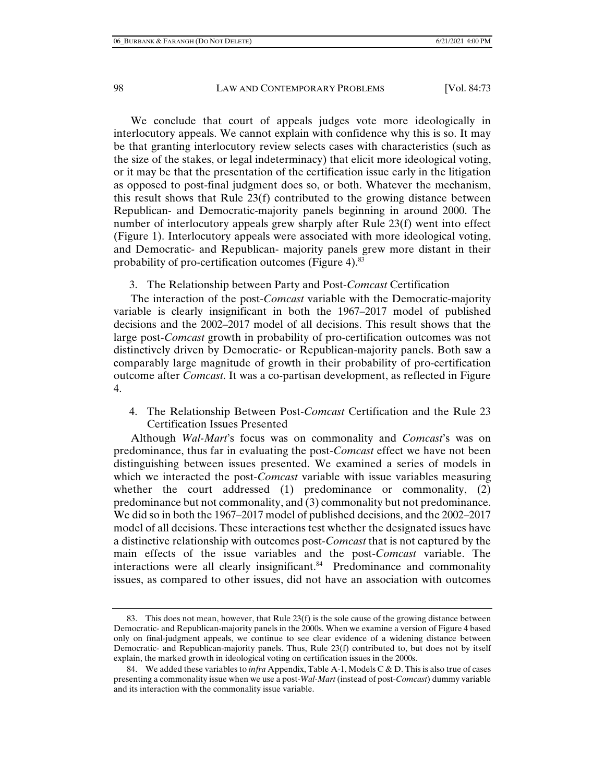We conclude that court of appeals judges vote more ideologically in interlocutory appeals. We cannot explain with confidence why this is so. It may be that granting interlocutory review selects cases with characteristics (such as the size of the stakes, or legal indeterminacy) that elicit more ideological voting, or it may be that the presentation of the certification issue early in the litigation as opposed to post-final judgment does so, or both. Whatever the mechanism, this result shows that Rule 23(f) contributed to the growing distance between Republican- and Democratic-majority panels beginning in around 2000. The number of interlocutory appeals grew sharply after Rule 23(f) went into effect (Figure 1). Interlocutory appeals were associated with more ideological voting, and Democratic- and Republican- majority panels grew more distant in their probability of pro-certification outcomes (Figure 4).<sup>83</sup>

## 3. The Relationship between Party and Post-*Comcast* Certification

The interaction of the post-*Comcast* variable with the Democratic-majority variable is clearly insignificant in both the 1967–2017 model of published decisions and the 2002–2017 model of all decisions. This result shows that the large post-*Comcast* growth in probability of pro-certification outcomes was not distinctively driven by Democratic- or Republican-majority panels. Both saw a comparably large magnitude of growth in their probability of pro-certification outcome after *Comcast*. It was a co-partisan development, as reflected in Figure 4.

4. The Relationship Between Post-*Comcast* Certification and the Rule 23 Certification Issues Presented

Although *Wal-Mart*'s focus was on commonality and *Comcast*'s was on predominance, thus far in evaluating the post-*Comcast* effect we have not been distinguishing between issues presented. We examined a series of models in which we interacted the post-*Comcast* variable with issue variables measuring whether the court addressed (1) predominance or commonality, (2) predominance but not commonality, and (3) commonality but not predominance. We did so in both the 1967–2017 model of published decisions, and the 2002–2017 model of all decisions. These interactions test whether the designated issues have a distinctive relationship with outcomes post-*Comcast* that is not captured by the main effects of the issue variables and the post-*Comcast* variable. The interactions were all clearly insignificant.<sup>84</sup> Predominance and commonality issues, as compared to other issues, did not have an association with outcomes

 <sup>83.</sup> This does not mean, however, that Rule 23(f) is the sole cause of the growing distance between Democratic- and Republican-majority panels in the 2000s. When we examine a version of Figure 4 based only on final-judgment appeals, we continue to see clear evidence of a widening distance between Democratic- and Republican-majority panels. Thus, Rule 23(f) contributed to, but does not by itself explain, the marked growth in ideological voting on certification issues in the 2000s.

 <sup>84.</sup> We added these variables to *infra* Appendix, Table A-1, Models C & D. This is also true of cases presenting a commonality issue when we use a post-*Wal-Mart* (instead of post-*Comcast*) dummy variable and its interaction with the commonality issue variable.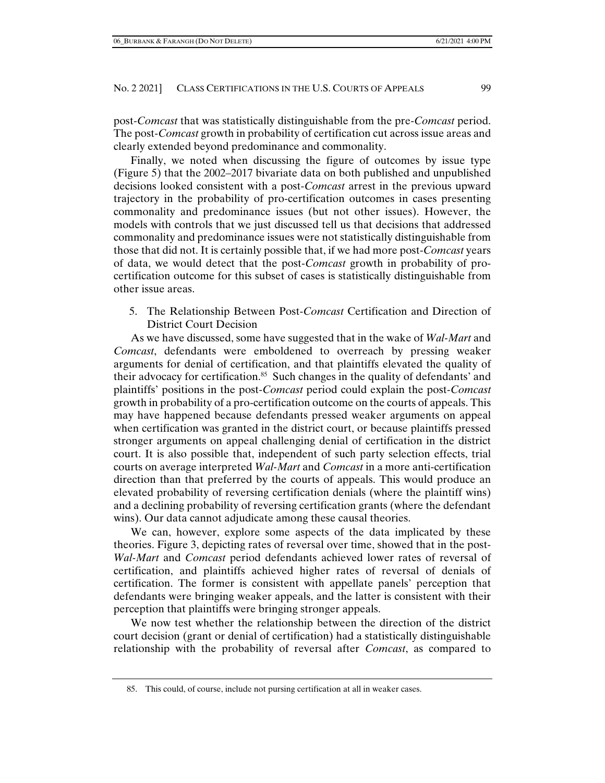post-*Comcast* that was statistically distinguishable from the pre-*Comcast* period. The post-*Comcast* growth in probability of certification cut across issue areas and clearly extended beyond predominance and commonality.

Finally, we noted when discussing the figure of outcomes by issue type (Figure 5) that the 2002–2017 bivariate data on both published and unpublished decisions looked consistent with a post-*Comcast* arrest in the previous upward trajectory in the probability of pro-certification outcomes in cases presenting commonality and predominance issues (but not other issues). However, the models with controls that we just discussed tell us that decisions that addressed commonality and predominance issues were not statistically distinguishable from those that did not. It is certainly possible that, if we had more post-*Comcast* years of data, we would detect that the post-*Comcast* growth in probability of procertification outcome for this subset of cases is statistically distinguishable from other issue areas.

5. The Relationship Between Post-*Comcast* Certification and Direction of District Court Decision

As we have discussed, some have suggested that in the wake of *Wal-Mart* and *Comcast*, defendants were emboldened to overreach by pressing weaker arguments for denial of certification, and that plaintiffs elevated the quality of their advocacy for certification. $85$  Such changes in the quality of defendants' and plaintiffs' positions in the post-*Comcast* period could explain the post-*Comcast* growth in probability of a pro-certification outcome on the courts of appeals. This may have happened because defendants pressed weaker arguments on appeal when certification was granted in the district court, or because plaintiffs pressed stronger arguments on appeal challenging denial of certification in the district court. It is also possible that, independent of such party selection effects, trial courts on average interpreted *Wal-Mart* and *Comcast* in a more anti-certification direction than that preferred by the courts of appeals. This would produce an elevated probability of reversing certification denials (where the plaintiff wins) and a declining probability of reversing certification grants (where the defendant wins). Our data cannot adjudicate among these causal theories.

We can, however, explore some aspects of the data implicated by these theories. Figure 3, depicting rates of reversal over time, showed that in the post-*Wal-Mart* and *Comcast* period defendants achieved lower rates of reversal of certification, and plaintiffs achieved higher rates of reversal of denials of certification. The former is consistent with appellate panels' perception that defendants were bringing weaker appeals, and the latter is consistent with their perception that plaintiffs were bringing stronger appeals.

We now test whether the relationship between the direction of the district court decision (grant or denial of certification) had a statistically distinguishable relationship with the probability of reversal after *Comcast*, as compared to

 <sup>85.</sup> This could, of course, include not pursing certification at all in weaker cases.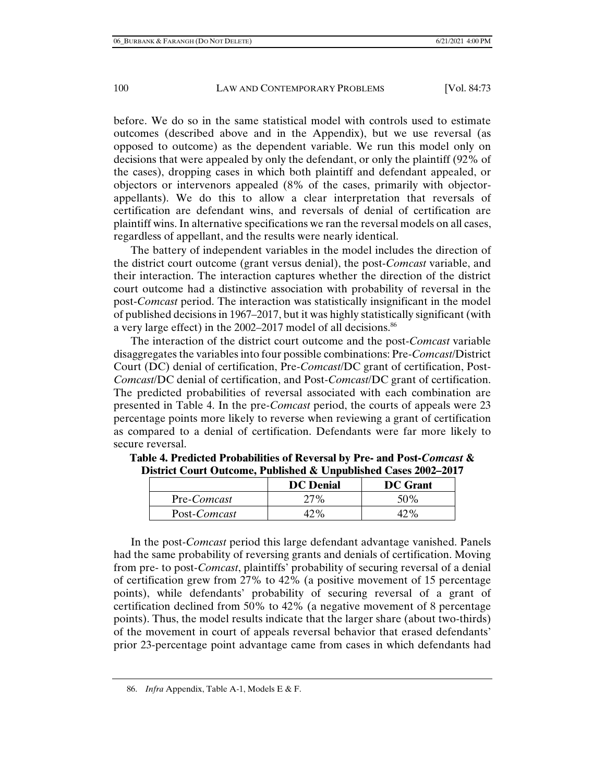before. We do so in the same statistical model with controls used to estimate outcomes (described above and in the Appendix), but we use reversal (as opposed to outcome) as the dependent variable. We run this model only on decisions that were appealed by only the defendant, or only the plaintiff (92% of the cases), dropping cases in which both plaintiff and defendant appealed, or objectors or intervenors appealed (8% of the cases, primarily with objectorappellants). We do this to allow a clear interpretation that reversals of certification are defendant wins, and reversals of denial of certification are plaintiff wins. In alternative specifications we ran the reversal models on all cases, regardless of appellant, and the results were nearly identical.

The battery of independent variables in the model includes the direction of the district court outcome (grant versus denial), the post-*Comcast* variable, and their interaction. The interaction captures whether the direction of the district court outcome had a distinctive association with probability of reversal in the post-*Comcast* period. The interaction was statistically insignificant in the model of published decisions in 1967–2017, but it was highly statistically significant (with a very large effect) in the 2002–2017 model of all decisions.<sup>86</sup>

The interaction of the district court outcome and the post-*Comcast* variable disaggregates the variables into four possible combinations: Pre-*Comcast*/District Court (DC) denial of certification, Pre-*Comcast*/DC grant of certification, Post-*Comcast*/DC denial of certification, and Post-*Comcast*/DC grant of certification. The predicted probabilities of reversal associated with each combination are presented in Table 4. In the pre-*Comcast* period, the courts of appeals were 23 percentage points more likely to reverse when reviewing a grant of certification as compared to a denial of certification. Defendants were far more likely to secure reversal.

|              | <b>DC</b> Denial | <b>DC</b> Grant |
|--------------|------------------|-----------------|
| Pre-Comcast  | $27\%$           | 50%             |
| Post-Comcast | 2%               |                 |

**Table 4. Predicted Probabilities of Reversal by Pre- and Post-***Comcast* **& District Court Outcome, Published & Unpublished Cases 2002–2017** 

In the post-*Comcast* period this large defendant advantage vanished. Panels had the same probability of reversing grants and denials of certification. Moving from pre- to post-*Comcast*, plaintiffs' probability of securing reversal of a denial of certification grew from 27% to 42% (a positive movement of 15 percentage points), while defendants' probability of securing reversal of a grant of certification declined from 50% to 42% (a negative movement of 8 percentage points). Thus, the model results indicate that the larger share (about two-thirds) of the movement in court of appeals reversal behavior that erased defendants' prior 23-percentage point advantage came from cases in which defendants had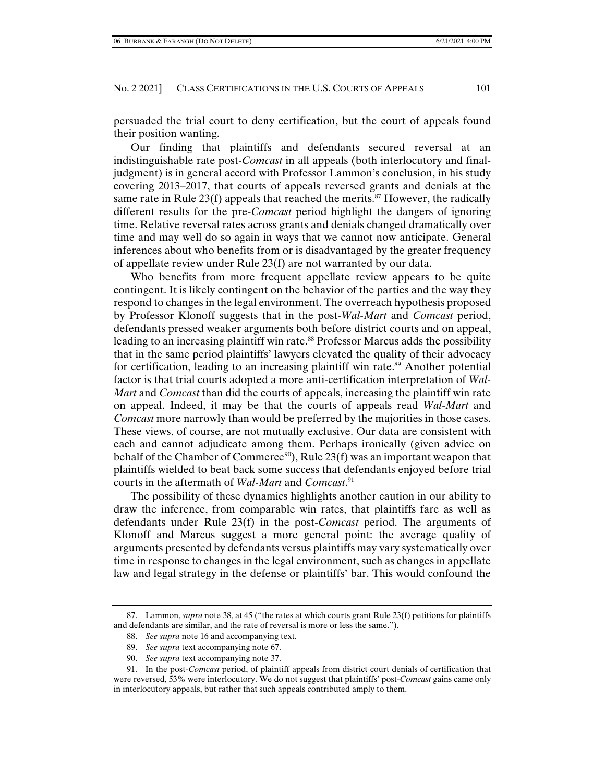persuaded the trial court to deny certification, but the court of appeals found their position wanting.

Our finding that plaintiffs and defendants secured reversal at an indistinguishable rate post-*Comcast* in all appeals (both interlocutory and finaljudgment) is in general accord with Professor Lammon's conclusion, in his study covering 2013–2017, that courts of appeals reversed grants and denials at the same rate in Rule 23(f) appeals that reached the merits.<sup>87</sup> However, the radically different results for the pre-*Comcast* period highlight the dangers of ignoring time. Relative reversal rates across grants and denials changed dramatically over time and may well do so again in ways that we cannot now anticipate. General inferences about who benefits from or is disadvantaged by the greater frequency of appellate review under Rule 23(f) are not warranted by our data.

Who benefits from more frequent appellate review appears to be quite contingent. It is likely contingent on the behavior of the parties and the way they respond to changes in the legal environment. The overreach hypothesis proposed by Professor Klonoff suggests that in the post-*Wal-Mart* and *Comcast* period, defendants pressed weaker arguments both before district courts and on appeal, leading to an increasing plaintiff win rate.<sup>88</sup> Professor Marcus adds the possibility that in the same period plaintiffs' lawyers elevated the quality of their advocacy for certification, leading to an increasing plaintiff win rate.<sup>89</sup> Another potential factor is that trial courts adopted a more anti-certification interpretation of *Wal-Mart* and *Comcast* than did the courts of appeals, increasing the plaintiff win rate on appeal. Indeed, it may be that the courts of appeals read *Wal-Mart* and *Comcast* more narrowly than would be preferred by the majorities in those cases. These views, of course, are not mutually exclusive. Our data are consistent with each and cannot adjudicate among them. Perhaps ironically (given advice on behalf of the Chamber of Commerce<sup>90</sup>), Rule 23(f) was an important weapon that plaintiffs wielded to beat back some success that defendants enjoyed before trial courts in the aftermath of *Wal-Mart* and *Comcast*. 91

The possibility of these dynamics highlights another caution in our ability to draw the inference, from comparable win rates, that plaintiffs fare as well as defendants under Rule 23(f) in the post-*Comcast* period. The arguments of Klonoff and Marcus suggest a more general point: the average quality of arguments presented by defendants versus plaintiffs may vary systematically over time in response to changes in the legal environment, such as changes in appellate law and legal strategy in the defense or plaintiffs' bar. This would confound the

 <sup>87.</sup> Lammon, *supra* note 38, at 45 ("the rates at which courts grant Rule 23(f) petitions for plaintiffs and defendants are similar, and the rate of reversal is more or less the same.").

 <sup>88.</sup> *See supra* note 16 and accompanying text.

 <sup>89.</sup> *See supra* text accompanying note 67.

 <sup>90.</sup> *See supra* text accompanying note 37.

 <sup>91.</sup> In the post-*Comcast* period, of plaintiff appeals from district court denials of certification that were reversed, 53% were interlocutory. We do not suggest that plaintiffs' post-*Comcast* gains came only in interlocutory appeals, but rather that such appeals contributed amply to them.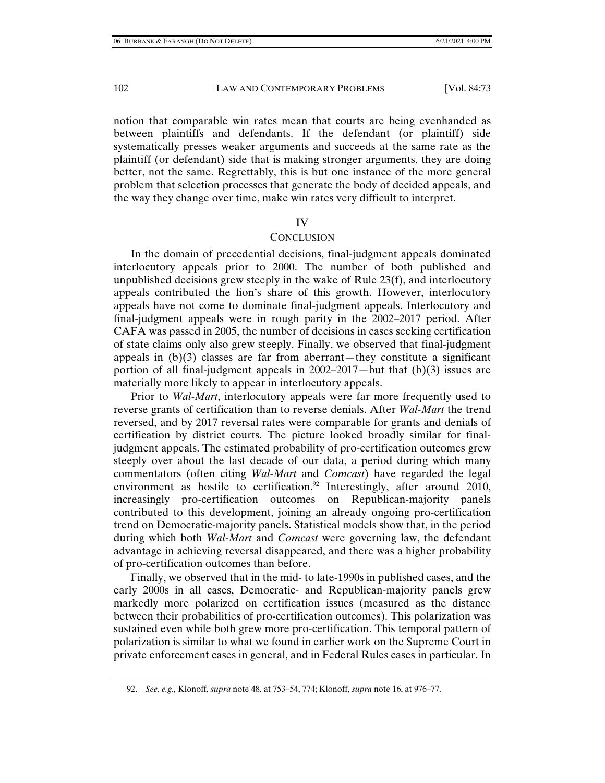notion that comparable win rates mean that courts are being evenhanded as between plaintiffs and defendants. If the defendant (or plaintiff) side systematically presses weaker arguments and succeeds at the same rate as the plaintiff (or defendant) side that is making stronger arguments, they are doing better, not the same. Regrettably, this is but one instance of the more general problem that selection processes that generate the body of decided appeals, and the way they change over time, make win rates very difficult to interpret.

#### IV

#### **CONCLUSION**

In the domain of precedential decisions, final-judgment appeals dominated interlocutory appeals prior to 2000. The number of both published and unpublished decisions grew steeply in the wake of Rule 23(f), and interlocutory appeals contributed the lion's share of this growth. However, interlocutory appeals have not come to dominate final-judgment appeals. Interlocutory and final-judgment appeals were in rough parity in the 2002–2017 period. After CAFA was passed in 2005, the number of decisions in cases seeking certification of state claims only also grew steeply. Finally, we observed that final-judgment appeals in (b)(3) classes are far from aberrant—they constitute a significant portion of all final-judgment appeals in 2002–2017—but that (b)(3) issues are materially more likely to appear in interlocutory appeals.

Prior to *Wal-Mart*, interlocutory appeals were far more frequently used to reverse grants of certification than to reverse denials. After *Wal-Mart* the trend reversed, and by 2017 reversal rates were comparable for grants and denials of certification by district courts. The picture looked broadly similar for finaljudgment appeals. The estimated probability of pro-certification outcomes grew steeply over about the last decade of our data, a period during which many commentators (often citing *Wal-Mart* and *Comcast*) have regarded the legal environment as hostile to certification.<sup>92</sup> Interestingly, after around 2010, increasingly pro-certification outcomes on Republican-majority panels contributed to this development, joining an already ongoing pro-certification trend on Democratic-majority panels. Statistical models show that, in the period during which both *Wal-Mart* and *Comcast* were governing law, the defendant advantage in achieving reversal disappeared, and there was a higher probability of pro-certification outcomes than before.

Finally, we observed that in the mid- to late-1990s in published cases, and the early 2000s in all cases, Democratic- and Republican-majority panels grew markedly more polarized on certification issues (measured as the distance between their probabilities of pro-certification outcomes). This polarization was sustained even while both grew more pro-certification. This temporal pattern of polarization is similar to what we found in earlier work on the Supreme Court in private enforcement cases in general, and in Federal Rules cases in particular. In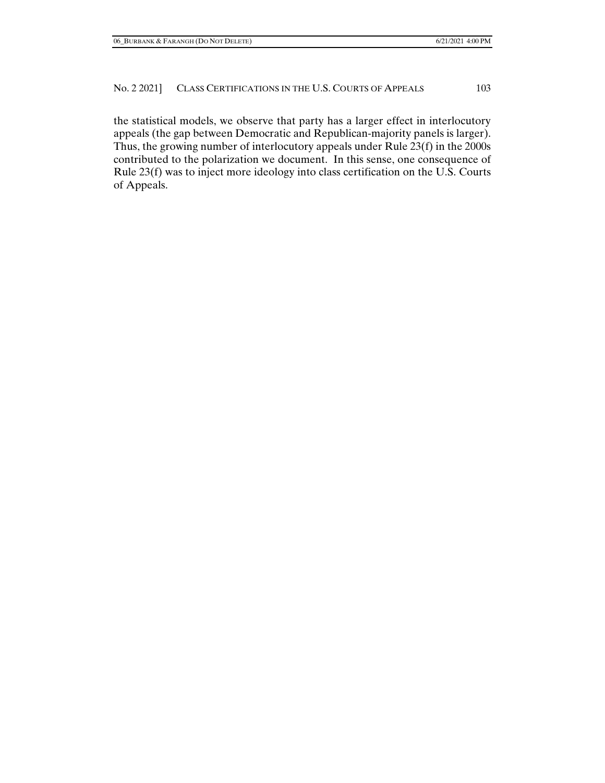the statistical models, we observe that party has a larger effect in interlocutory appeals (the gap between Democratic and Republican-majority panels is larger). Thus, the growing number of interlocutory appeals under Rule 23(f) in the 2000s contributed to the polarization we document. In this sense, one consequence of Rule 23(f) was to inject more ideology into class certification on the U.S. Courts of Appeals.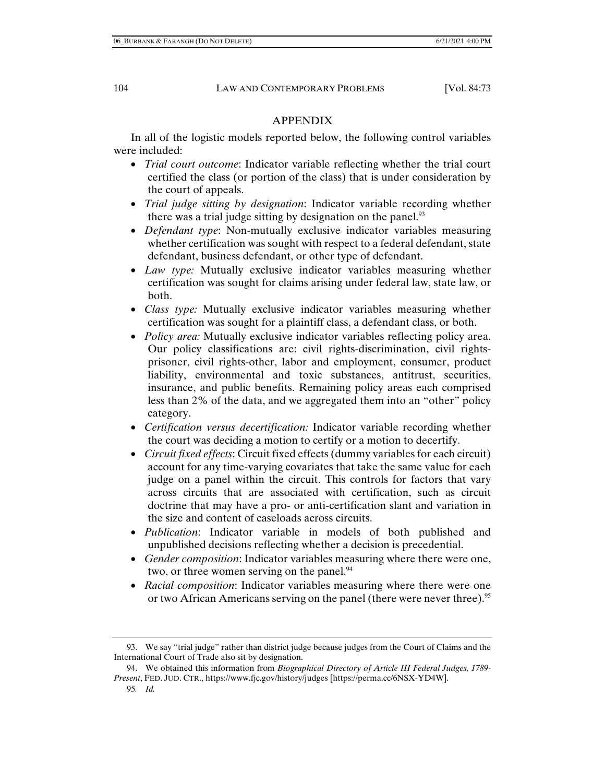# APPENDIX

In all of the logistic models reported below, the following control variables were included:

- *Trial court outcome*: Indicator variable reflecting whether the trial court certified the class (or portion of the class) that is under consideration by the court of appeals.
- *Trial judge sitting by designation*: Indicator variable recording whether there was a trial judge sitting by designation on the panel.<sup>93</sup>
- *Defendant type*: Non-mutually exclusive indicator variables measuring whether certification was sought with respect to a federal defendant, state defendant, business defendant, or other type of defendant.
- *Law type:* Mutually exclusive indicator variables measuring whether certification was sought for claims arising under federal law, state law, or both.
- *Class type:* Mutually exclusive indicator variables measuring whether certification was sought for a plaintiff class, a defendant class, or both.
- *Policy area:* Mutually exclusive indicator variables reflecting policy area. Our policy classifications are: civil rights-discrimination, civil rightsprisoner, civil rights-other, labor and employment, consumer, product liability, environmental and toxic substances, antitrust, securities, insurance, and public benefits. Remaining policy areas each comprised less than 2% of the data, and we aggregated them into an "other" policy category.
- *Certification versus decertification:* Indicator variable recording whether the court was deciding a motion to certify or a motion to decertify.
- *Circuit fixed effects*: Circuit fixed effects (dummy variables for each circuit) account for any time-varying covariates that take the same value for each judge on a panel within the circuit. This controls for factors that vary across circuits that are associated with certification, such as circuit doctrine that may have a pro- or anti-certification slant and variation in the size and content of caseloads across circuits.
- *Publication*: Indicator variable in models of both published and unpublished decisions reflecting whether a decision is precedential.
- *Gender composition*: Indicator variables measuring where there were one, two, or three women serving on the panel.<sup>94</sup>
- *Racial composition*: Indicator variables measuring where there were one or two African Americans serving on the panel (there were never three).<sup>95</sup>

 <sup>93.</sup> We say "trial judge" rather than district judge because judges from the Court of Claims and the International Court of Trade also sit by designation.

 <sup>94.</sup> We obtained this information from *Biographical Directory of Article III Federal Judges, 1789- Present*, FED. JUD. CTR., https://www.fjc.gov/history/judges [https://perma.cc/6NSX-YD4W].

<sup>95</sup>*. Id.*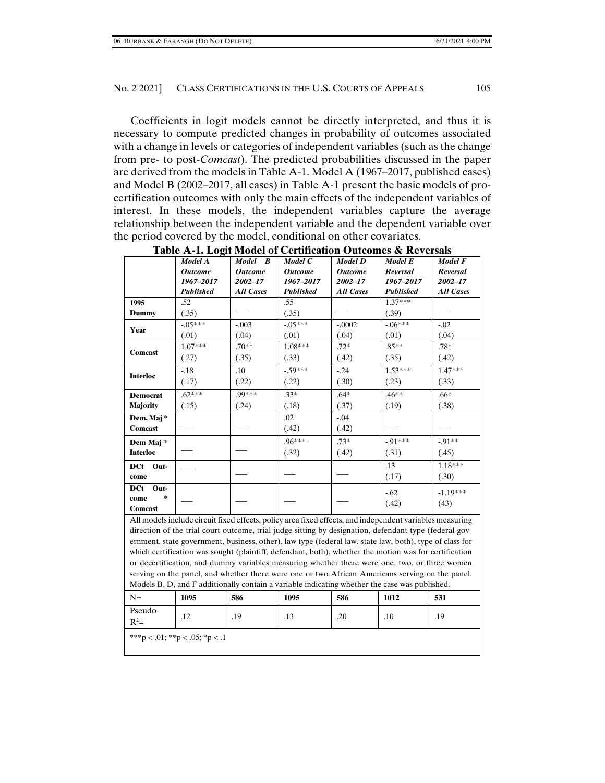Coefficients in logit models cannot be directly interpreted, and thus it is necessary to compute predicted changes in probability of outcomes associated with a change in levels or categories of independent variables (such as the change from pre- to post-*Comcast*). The predicted probabilities discussed in the paper are derived from the models in Table A-1. Model A (1967–2017, published cases) and Model B (2002–2017, all cases) in Table A-1 present the basic models of procertification outcomes with only the main effects of the independent variables of interest. In these models, the independent variables capture the average relationship between the independent variable and the dependent variable over the period covered by the model, conditional on other covariates.

|                    | Model A        | Model B          | Model C        | Model D          | Model E   | Model F          |
|--------------------|----------------|------------------|----------------|------------------|-----------|------------------|
|                    | <b>Outcome</b> | <b>Outcome</b>   | <b>Outcome</b> | <b>Outcome</b>   | Reversal  | Reversal         |
|                    | 1967-2017      | $2002 - 17$      | 1967-2017      | $2002 - 17$      | 1967-2017 | $2002 - 17$      |
|                    | Published      | <b>All Cases</b> | Published      | <b>All Cases</b> | Published | <b>All Cases</b> |
| 1995               | .52            |                  | .55            |                  | $1.37***$ |                  |
| Dummy              | (.35)          |                  | (.35)          |                  | (.39)     |                  |
| Year               | $-05***$       | $-.003$          | $-05***$       | $-.0002$         | $-.06***$ | $-.02$           |
|                    | (.01)          | (.04)            | (.01)          | (.04)            | (.01)     | (.04)            |
| Comcast            | $1.07***$      | $.70**$          | $1.08***$      | $.72*$           | $.85**$   | .78*             |
|                    | (.27)          | (.35)            | (.33)          | (.42)            | (.35)     | (.42)            |
|                    | $-18$          | .10              | $-0.59***$     | $-0.24$          | $1.53***$ | $1.47***$        |
| <b>Interloc</b>    | (.17)          | (.22)            | (.22)          | (.30)            | (.23)     | (.33)            |
| <b>Democrat</b>    | $.62***$       | .99***           | $.33*$         | $.64*$           | $.46**$   | $.66*$           |
| <b>Majority</b>    | (.15)          | (.24)            | (.18)          | (.37)            | (.19)     | (.38)            |
| Dem. Maj*          |                |                  | .02            | $-.04$           |           |                  |
| Comcast            |                |                  | (.42)          | (.42)            |           |                  |
| Dem Maj *          |                |                  | .96***         | $.73*$           | $-91***$  | $-91**$          |
| <b>Interloc</b>    |                |                  | (.32)          | (.42)            | (.31)     | (.45)            |
| <b>DCt</b><br>Out- |                |                  |                |                  | .13       | $1.18***$        |
| come               |                |                  |                |                  | (.17)     | (.30)            |
| <b>DCt</b><br>Out- |                |                  |                |                  | $-.62$    | $-1.19***$       |
| $\ast$<br>come     |                |                  |                |                  | (.42)     | (43)             |
| Comcast            |                |                  |                |                  |           |                  |

**Table A-1. Logit Model of Certification Outcomes & Reversals**

All models include circuit fixed effects, policy area fixed effects, and independent variables measuring direction of the trial court outcome, trial judge sitting by designation, defendant type (federal government, state government, business, other), law type (federal law, state law, both), type of class for which certification was sought (plaintiff, defendant, both), whether the motion was for certification or decertification, and dummy variables measuring whether there were one, two, or three women serving on the panel, and whether there were one or two African Americans serving on the panel. Models B, D, and F additionally contain a variable indicating whether the case was published.

| $N=$                           | 1095 | 586 | 1095 | 586 | 1012 | 531 |  |
|--------------------------------|------|-----|------|-----|------|-----|--|
| Pseudo<br>$R^2=$               | .12  | .19 | .13  | .20 | .10  | .19 |  |
| ***p < .01; **p < .05; *p < .1 |      |     |      |     |      |     |  |